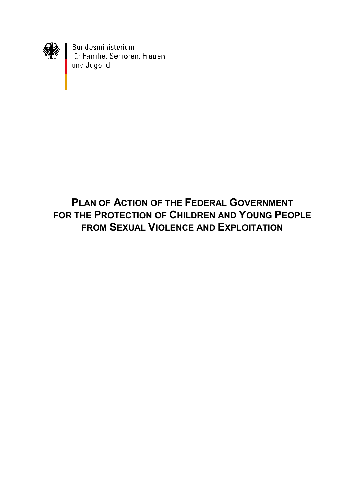

Bundesministerium<br>für Familie, Senioren, Frauen<br>und Jugend

# **PLAN OF ACTION OF THE FEDERAL GOVERNMENT FOR THE PROTECTION OF CHILDREN AND YOUNG PEOPLE FROM SEXUAL VIOLENCE AND EXPLOITATION**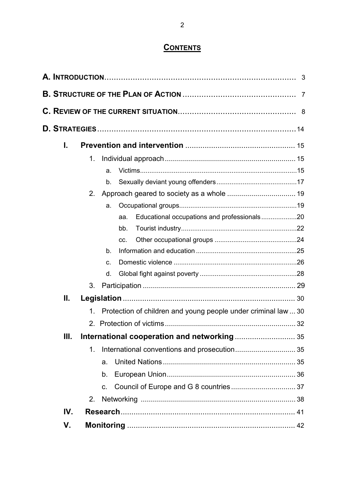## **CONTENTS**

| I.  |                |                |                                                                |  |
|-----|----------------|----------------|----------------------------------------------------------------|--|
|     | 1.             |                |                                                                |  |
|     |                | a.             |                                                                |  |
|     |                | b.             |                                                                |  |
|     | 2.             |                |                                                                |  |
|     |                | a.             |                                                                |  |
|     |                |                | Educational occupations and professionals20<br>aa.             |  |
|     |                |                | bb.                                                            |  |
|     |                |                | CC.                                                            |  |
|     |                | b.             |                                                                |  |
|     |                | C.             |                                                                |  |
|     |                | d.             |                                                                |  |
|     | 3 <sub>1</sub> |                |                                                                |  |
| Ш.  |                |                |                                                                |  |
|     | $\mathbf 1$ .  |                | Protection of children and young people under criminal law  30 |  |
|     |                |                |                                                                |  |
| Ш.  |                |                |                                                                |  |
|     | 1.             |                |                                                                |  |
|     |                | a <sub>z</sub> |                                                                |  |
|     |                | b.             |                                                                |  |
|     |                | C.             |                                                                |  |
|     | 2.             |                |                                                                |  |
| IV. |                |                |                                                                |  |
| V.  |                |                |                                                                |  |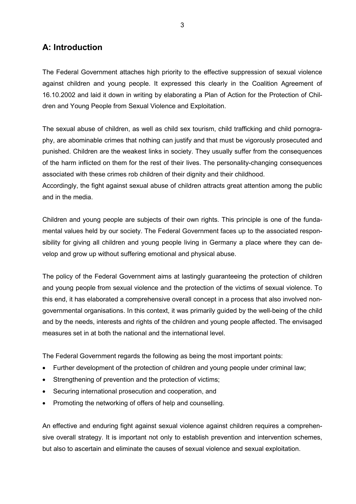## **A: Introduction**

The Federal Government attaches high priority to the effective suppression of sexual violence against children and young people. It expressed this clearly in the Coalition Agreement of 16.10.2002 and laid it down in writing by elaborating a Plan of Action for the Protection of Children and Young People from Sexual Violence and Exploitation.

The sexual abuse of children, as well as child sex tourism, child trafficking and child pornography, are abominable crimes that nothing can justify and that must be vigorously prosecuted and punished. Children are the weakest links in society. They usually suffer from the consequences of the harm inflicted on them for the rest of their lives. The personality-changing consequences associated with these crimes rob children of their dignity and their childhood.

Accordingly, the fight against sexual abuse of children attracts great attention among the public and in the media.

Children and young people are subjects of their own rights. This principle is one of the fundamental values held by our society. The Federal Government faces up to the associated responsibility for giving all children and young people living in Germany a place where they can develop and grow up without suffering emotional and physical abuse.

The policy of the Federal Government aims at lastingly guaranteeing the protection of children and young people from sexual violence and the protection of the victims of sexual violence. To this end, it has elaborated a comprehensive overall concept in a process that also involved nongovernmental organisations. In this context, it was primarily guided by the well-being of the child and by the needs, interests and rights of the children and young people affected. The envisaged measures set in at both the national and the international level.

The Federal Government regards the following as being the most important points:

- Further development of the protection of children and young people under criminal law;
- Strengthening of prevention and the protection of victims;
- Securing international prosecution and cooperation, and
- Promoting the networking of offers of help and counselling.

An effective and enduring fight against sexual violence against children requires a comprehensive overall strategy. It is important not only to establish prevention and intervention schemes, but also to ascertain and eliminate the causes of sexual violence and sexual exploitation.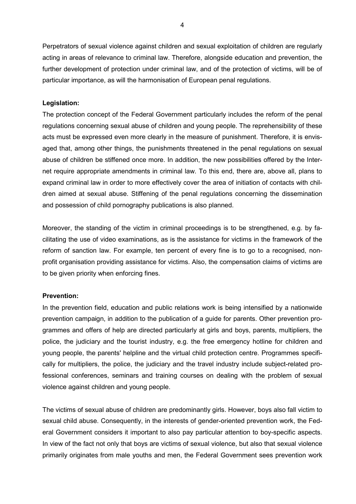Perpetrators of sexual violence against children and sexual exploitation of children are regularly acting in areas of relevance to criminal law. Therefore, alongside education and prevention, the further development of protection under criminal law, and of the protection of victims, will be of particular importance, as will the harmonisation of European penal regulations.

#### **Legislation:**

The protection concept of the Federal Government particularly includes the reform of the penal regulations concerning sexual abuse of children and young people. The reprehensibility of these acts must be expressed even more clearly in the measure of punishment. Therefore, it is envisaged that, among other things, the punishments threatened in the penal regulations on sexual abuse of children be stiffened once more. In addition, the new possibilities offered by the Internet require appropriate amendments in criminal law. To this end, there are, above all, plans to expand criminal law in order to more effectively cover the area of initiation of contacts with children aimed at sexual abuse. Stiffening of the penal regulations concerning the dissemination and possession of child pornography publications is also planned.

Moreover, the standing of the victim in criminal proceedings is to be strengthened, e.g. by facilitating the use of video examinations, as is the assistance for victims in the framework of the reform of sanction law. For example, ten percent of every fine is to go to a recognised, nonprofit organisation providing assistance for victims. Also, the compensation claims of victims are to be given priority when enforcing fines.

#### **Prevention:**

In the prevention field, education and public relations work is being intensified by a nationwide prevention campaign, in addition to the publication of a guide for parents. Other prevention programmes and offers of help are directed particularly at girls and boys, parents, multipliers, the police, the judiciary and the tourist industry, e.g. the free emergency hotline for children and young people, the parents' helpline and the virtual child protection centre. Programmes specifically for multipliers, the police, the judiciary and the travel industry include subject-related professional conferences, seminars and training courses on dealing with the problem of sexual violence against children and young people.

The victims of sexual abuse of children are predominantly girls. However, boys also fall victim to sexual child abuse. Consequently, in the interests of gender-oriented prevention work, the Federal Government considers it important to also pay particular attention to boy-specific aspects. In view of the fact not only that boys are victims of sexual violence, but also that sexual violence primarily originates from male youths and men, the Federal Government sees prevention work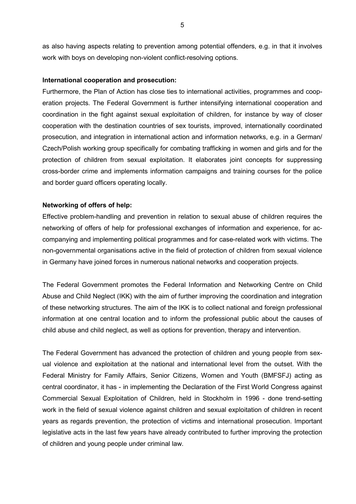as also having aspects relating to prevention among potential offenders, e.g. in that it involves work with boys on developing non-violent conflict-resolving options.

#### **International cooperation and prosecution:**

Furthermore, the Plan of Action has close ties to international activities, programmes and cooperation projects. The Federal Government is further intensifying international cooperation and coordination in the fight against sexual exploitation of children, for instance by way of closer cooperation with the destination countries of sex tourists, improved, internationally coordinated prosecution, and integration in international action and information networks, e.g. in a German/ Czech/Polish working group specifically for combating trafficking in women and girls and for the protection of children from sexual exploitation. It elaborates joint concepts for suppressing cross-border crime and implements information campaigns and training courses for the police and border guard officers operating locally.

#### **Networking of offers of help:**

Effective problem-handling and prevention in relation to sexual abuse of children requires the networking of offers of help for professional exchanges of information and experience, for accompanying and implementing political programmes and for case-related work with victims. The non-governmental organisations active in the field of protection of children from sexual violence in Germany have joined forces in numerous national networks and cooperation projects.

The Federal Government promotes the Federal Information and Networking Centre on Child Abuse and Child Neglect (IKK) with the aim of further improving the coordination and integration of these networking structures. The aim of the IKK is to collect national and foreign professional information at one central location and to inform the professional public about the causes of child abuse and child neglect, as well as options for prevention, therapy and intervention.

The Federal Government has advanced the protection of children and young people from sexual violence and exploitation at the national and international level from the outset. With the Federal Ministry for Family Affairs, Senior Citizens, Women and Youth (BMFSFJ) acting as central coordinator, it has - in implementing the Declaration of the First World Congress against Commercial Sexual Exploitation of Children, held in Stockholm in 1996 - done trend-setting work in the field of sexual violence against children and sexual exploitation of children in recent years as regards prevention, the protection of victims and international prosecution. Important legislative acts in the last few years have already contributed to further improving the protection of children and young people under criminal law.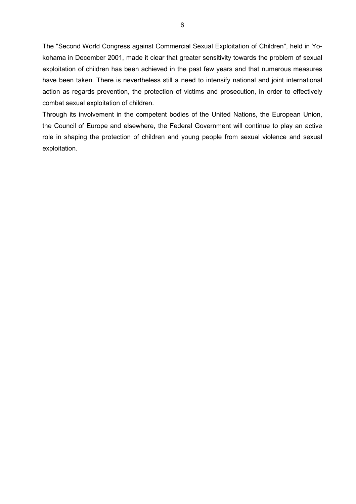The "Second World Congress against Commercial Sexual Exploitation of Children", held in Yokohama in December 2001, made it clear that greater sensitivity towards the problem of sexual exploitation of children has been achieved in the past few years and that numerous measures have been taken. There is nevertheless still a need to intensify national and joint international action as regards prevention, the protection of victims and prosecution, in order to effectively combat sexual exploitation of children.

Through its involvement in the competent bodies of the United Nations, the European Union, the Council of Europe and elsewhere, the Federal Government will continue to play an active role in shaping the protection of children and young people from sexual violence and sexual exploitation.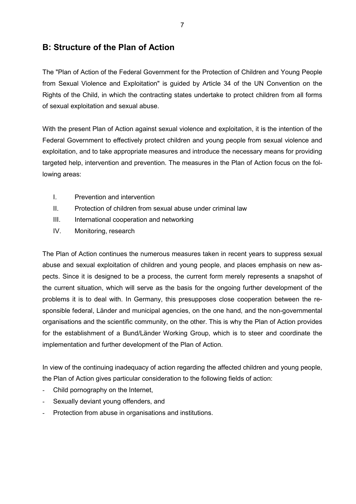## **B: Structure of the Plan of Action**

The "Plan of Action of the Federal Government for the Protection of Children and Young People from Sexual Violence and Exploitation" is guided by Article 34 of the UN Convention on the Rights of the Child, in which the contracting states undertake to protect children from all forms of sexual exploitation and sexual abuse.

With the present Plan of Action against sexual violence and exploitation, it is the intention of the Federal Government to effectively protect children and young people from sexual violence and exploitation, and to take appropriate measures and introduce the necessary means for providing targeted help, intervention and prevention. The measures in the Plan of Action focus on the following areas:

- I. Prevention and intervention
- II. Protection of children from sexual abuse under criminal law
- III. International cooperation and networking
- IV. Monitoring, research

The Plan of Action continues the numerous measures taken in recent years to suppress sexual abuse and sexual exploitation of children and young people, and places emphasis on new aspects. Since it is designed to be a process, the current form merely represents a snapshot of the current situation, which will serve as the basis for the ongoing further development of the problems it is to deal with. In Germany, this presupposes close cooperation between the responsible federal, Länder and municipal agencies, on the one hand, and the non-governmental organisations and the scientific community, on the other. This is why the Plan of Action provides for the establishment of a Bund/Länder Working Group, which is to steer and coordinate the implementation and further development of the Plan of Action.

In view of the continuing inadequacy of action regarding the affected children and young people, the Plan of Action gives particular consideration to the following fields of action:

- Child pornography on the Internet,
- Sexually deviant young offenders, and
- Protection from abuse in organisations and institutions.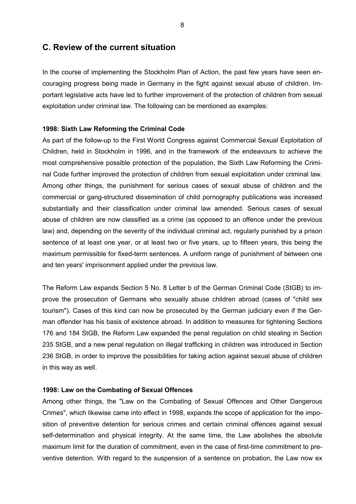### **C. Review of the current situation**

In the course of implementing the Stockholm Plan of Action, the past few years have seen encouraging progress being made in Germany in the fight against sexual abuse of children. Important legislative acts have led to further improvement of the protection of children from sexual exploitation under criminal law. The following can be mentioned as examples:

#### **1998: Sixth Law Reforming the Criminal Code**

As part of the follow-up to the First World Congress against Commercial Sexual Exploitation of Children, held in Stockholm in 1996, and in the framework of the endeavours to achieve the most comprehensive possible protection of the population, the Sixth Law Reforming the Criminal Code further improved the protection of children from sexual exploitation under criminal law. Among other things, the punishment for serious cases of sexual abuse of children and the commercial or gang-structured dissemination of child pornography publications was increased substantially and their classification under criminal law amended. Serious cases of sexual abuse of children are now classified as a crime (as opposed to an offence under the previous law) and, depending on the severity of the individual criminal act, regularly punished by a prison sentence of at least one year, or at least two or five years, up to fifteen years, this being the maximum permissible for fixed-term sentences. A uniform range of punishment of between one and ten years' imprisonment applied under the previous law.

The Reform Law expands Section 5 No. 8 Letter b of the German Criminal Code (StGB) to improve the prosecution of Germans who sexually abuse children abroad (cases of "child sex tourism"). Cases of this kind can now be prosecuted by the German judiciary even if the German offender has his basis of existence abroad. In addition to measures for tightening Sections 176 and 184 StGB, the Reform Law expanded the penal regulation on child stealing in Section 235 StGB, and a new penal regulation on illegal trafficking in children was introduced in Section 236 StGB, in order to improve the possibilities for taking action against sexual abuse of children in this way as well.

#### **1998: Law on the Combating of Sexual Offences**

Among other things, the "Law on the Combating of Sexual Offences and Other Dangerous Crimes", which likewise came into effect in 1998, expands the scope of application for the imposition of preventive detention for serious crimes and certain criminal offences against sexual self-determination and physical integrity. At the same time, the Law abolishes the absolute maximum limit for the duration of commitment, even in the case of first-time commitment to preventive detention. With regard to the suspension of a sentence on probation, the Law now ex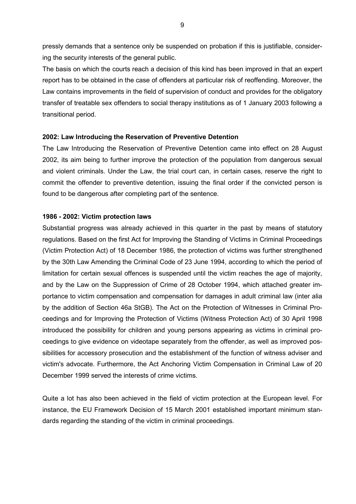pressly demands that a sentence only be suspended on probation if this is justifiable, considering the security interests of the general public.

The basis on which the courts reach a decision of this kind has been improved in that an expert report has to be obtained in the case of offenders at particular risk of reoffending. Moreover, the Law contains improvements in the field of supervision of conduct and provides for the obligatory transfer of treatable sex offenders to social therapy institutions as of 1 January 2003 following a transitional period.

#### **2002: Law Introducing the Reservation of Preventive Detention**

The Law Introducing the Reservation of Preventive Detention came into effect on 28 August 2002, its aim being to further improve the protection of the population from dangerous sexual and violent criminals. Under the Law, the trial court can, in certain cases, reserve the right to commit the offender to preventive detention, issuing the final order if the convicted person is found to be dangerous after completing part of the sentence.

#### **1986 - 2002: Victim protection laws**

Substantial progress was already achieved in this quarter in the past by means of statutory regulations. Based on the first Act for Improving the Standing of Victims in Criminal Proceedings (Victim Protection Act) of 18 December 1986, the protection of victims was further strengthened by the 30th Law Amending the Criminal Code of 23 June 1994, according to which the period of limitation for certain sexual offences is suspended until the victim reaches the age of majority, and by the Law on the Suppression of Crime of 28 October 1994, which attached greater importance to victim compensation and compensation for damages in adult criminal law (inter alia by the addition of Section 46a StGB). The Act on the Protection of Witnesses in Criminal Proceedings and for Improving the Protection of Victims (Witness Protection Act) of 30 April 1998 introduced the possibility for children and young persons appearing as victims in criminal proceedings to give evidence on videotape separately from the offender, as well as improved possibilities for accessory prosecution and the establishment of the function of witness adviser and victim's advocate. Furthermore, the Act Anchoring Victim Compensation in Criminal Law of 20 December 1999 served the interests of crime victims.

Quite a lot has also been achieved in the field of victim protection at the European level. For instance, the EU Framework Decision of 15 March 2001 established important minimum standards regarding the standing of the victim in criminal proceedings.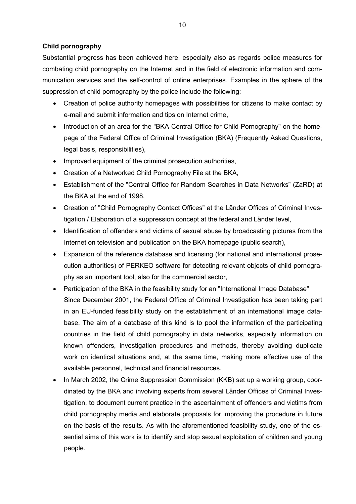#### **Child pornography**

Substantial progress has been achieved here, especially also as regards police measures for combating child pornography on the Internet and in the field of electronic information and communication services and the self-control of online enterprises. Examples in the sphere of the suppression of child pornography by the police include the following:

- Creation of police authority homepages with possibilities for citizens to make contact by e-mail and submit information and tips on Internet crime,
- Introduction of an area for the "BKA Central Office for Child Pornography" on the homepage of the Federal Office of Criminal Investigation (BKA) (Frequently Asked Questions, legal basis, responsibilities),
- Improved equipment of the criminal prosecution authorities,
- Creation of a Networked Child Pornography File at the BKA,
- Establishment of the "Central Office for Random Searches in Data Networks" (ZaRD) at the BKA at the end of 1998,
- Creation of "Child Pornography Contact Offices" at the Länder Offices of Criminal Investigation / Elaboration of a suppression concept at the federal and Länder level,
- Identification of offenders and victims of sexual abuse by broadcasting pictures from the Internet on television and publication on the BKA homepage (public search),
- Expansion of the reference database and licensing (for national and international prosecution authorities) of PERKEO software for detecting relevant objects of child pornography as an important tool, also for the commercial sector,
- Participation of the BKA in the feasibility study for an "International Image Database" Since December 2001, the Federal Office of Criminal Investigation has been taking part in an EU-funded feasibility study on the establishment of an international image database. The aim of a database of this kind is to pool the information of the participating countries in the field of child pornography in data networks, especially information on known offenders, investigation procedures and methods, thereby avoiding duplicate work on identical situations and, at the same time, making more effective use of the available personnel, technical and financial resources.
- In March 2002, the Crime Suppression Commission (KKB) set up a working group, coordinated by the BKA and involving experts from several Länder Offices of Criminal Investigation, to document current practice in the ascertainment of offenders and victims from child pornography media and elaborate proposals for improving the procedure in future on the basis of the results. As with the aforementioned feasibility study, one of the essential aims of this work is to identify and stop sexual exploitation of children and young people.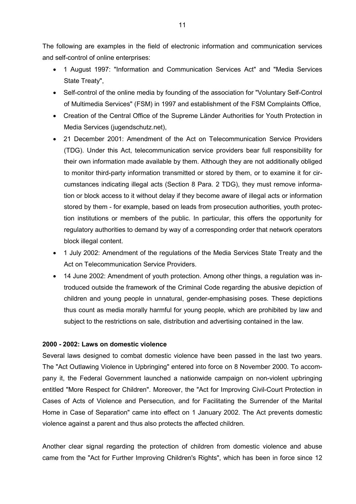The following are examples in the field of electronic information and communication services and self-control of online enterprises:

- 1 August 1997: "Information and Communication Services Act" and "Media Services State Treaty",
- Self-control of the online media by founding of the association for "Voluntary Self-Control of Multimedia Services" (FSM) in 1997 and establishment of the FSM Complaints Office,
- Creation of the Central Office of the Supreme Länder Authorities for Youth Protection in Media Services (jugendschutz.net),
- 21 December 2001: Amendment of the Act on Telecommunication Service Providers (TDG). Under this Act, telecommunication service providers bear full responsibility for their own information made available by them. Although they are not additionally obliged to monitor third-party information transmitted or stored by them, or to examine it for circumstances indicating illegal acts (Section 8 Para. 2 TDG), they must remove information or block access to it without delay if they become aware of illegal acts or information stored by them - for example, based on leads from prosecution authorities, youth protection institutions or members of the public. In particular, this offers the opportunity for regulatory authorities to demand by way of a corresponding order that network operators block illegal content.
- 1 July 2002: Amendment of the regulations of the Media Services State Treaty and the Act on Telecommunication Service Providers.
- 14 June 2002: Amendment of youth protection. Among other things, a regulation was introduced outside the framework of the Criminal Code regarding the abusive depiction of children and young people in unnatural, gender-emphasising poses. These depictions thus count as media morally harmful for young people, which are prohibited by law and subject to the restrictions on sale, distribution and advertising contained in the law.

#### **2000 - 2002: Laws on domestic violence**

Several laws designed to combat domestic violence have been passed in the last two years. The "Act Outlawing Violence in Upbringing" entered into force on 8 November 2000. To accompany it, the Federal Government launched a nationwide campaign on non-violent upbringing entitled "More Respect for Children". Moreover, the "Act for Improving Civil-Court Protection in Cases of Acts of Violence and Persecution, and for Facilitating the Surrender of the Marital Home in Case of Separation" came into effect on 1 January 2002. The Act prevents domestic violence against a parent and thus also protects the affected children.

Another clear signal regarding the protection of children from domestic violence and abuse came from the "Act for Further Improving Children's Rights", which has been in force since 12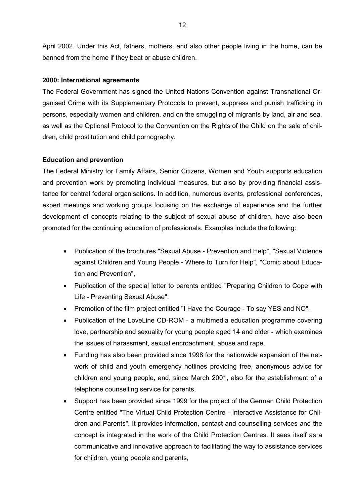April 2002. Under this Act, fathers, mothers, and also other people living in the home, can be banned from the home if they beat or abuse children.

#### **2000: International agreements**

The Federal Government has signed the United Nations Convention against Transnational Organised Crime with its Supplementary Protocols to prevent, suppress and punish trafficking in persons, especially women and children, and on the smuggling of migrants by land, air and sea, as well as the Optional Protocol to the Convention on the Rights of the Child on the sale of children, child prostitution and child pornography.

#### **Education and prevention**

The Federal Ministry for Family Affairs, Senior Citizens, Women and Youth supports education and prevention work by promoting individual measures, but also by providing financial assistance for central federal organisations. In addition, numerous events, professional conferences, expert meetings and working groups focusing on the exchange of experience and the further development of concepts relating to the subject of sexual abuse of children, have also been promoted for the continuing education of professionals. Examples include the following:

- Publication of the brochures "Sexual Abuse Prevention and Help", "Sexual Violence against Children and Young People - Where to Turn for Help", "Comic about Education and Prevention",
- Publication of the special letter to parents entitled "Preparing Children to Cope with Life - Preventing Sexual Abuse",
- Promotion of the film project entitled "I Have the Courage To say YES and NO",
- Publication of the LoveLine CD-ROM a multimedia education programme covering love, partnership and sexuality for young people aged 14 and older - which examines the issues of harassment, sexual encroachment, abuse and rape,
- Funding has also been provided since 1998 for the nationwide expansion of the network of child and youth emergency hotlines providing free, anonymous advice for children and young people, and, since March 2001, also for the establishment of a telephone counselling service for parents,
- Support has been provided since 1999 for the project of the German Child Protection Centre entitled "The Virtual Child Protection Centre - Interactive Assistance for Children and Parents". It provides information, contact and counselling services and the concept is integrated in the work of the Child Protection Centres. It sees itself as a communicative and innovative approach to facilitating the way to assistance services for children, young people and parents,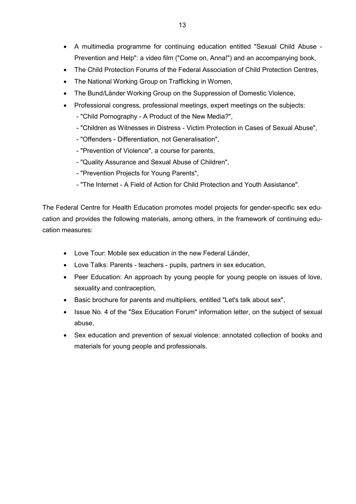- A multimedia programme for continuing education entitled "Sexual Child Abuse Prevention and Help": a video film ("Come on, Anna!") and an accompanying book,
- The Child Protection Forums of the Federal Association of Child Protection Centres,
- The National Working Group on Trafficking in Women,
- The Bund/Länder Working Group on the Suppression of Domestic Violence,
- Professional congress, professional meetings, expert meetings on the subjects:
	- "Child Pornography A Product of the New Media?",
	- "Children as Witnesses in Distress Victim Protection in Cases of Sexual Abuse",
	- "Offenders Differentiation, not Generalisation",
	- "Prevention of Violence", a course for parents,
	- "Quality Assurance and Sexual Abuse of Children",
	- "Prevention Projects for Young Parents",
	- "The Internet A Field of Action for Child Protection and Youth Assistance".

The Federal Centre for Health Education promotes model projects for gender-specific sex education and provides the following materials, among others, in the framework of continuing education measures:

- Love Tour: Mobile sex education in the new Federal Länder,
- Love Talks: Parents teachers pupils, partners in sex education,
- Peer Education: An approach by young people for young people on issues of love, sexuality and contraception,
- Basic brochure for parents and multipliers, entitled "Let's talk about sex",
- Issue No. 4 of the "Sex Education Forum" information letter, on the subject of sexual abuse,
- Sex education and prevention of sexual violence: annotated collection of books and materials for young people and professionals.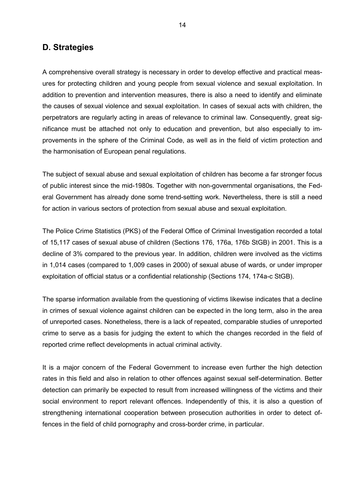## **D. Strategies**

A comprehensive overall strategy is necessary in order to develop effective and practical measures for protecting children and young people from sexual violence and sexual exploitation. In addition to prevention and intervention measures, there is also a need to identify and eliminate the causes of sexual violence and sexual exploitation. In cases of sexual acts with children, the perpetrators are regularly acting in areas of relevance to criminal law. Consequently, great significance must be attached not only to education and prevention, but also especially to improvements in the sphere of the Criminal Code, as well as in the field of victim protection and the harmonisation of European penal regulations.

The subject of sexual abuse and sexual exploitation of children has become a far stronger focus of public interest since the mid-1980s. Together with non-governmental organisations, the Federal Government has already done some trend-setting work. Nevertheless, there is still a need for action in various sectors of protection from sexual abuse and sexual exploitation.

The Police Crime Statistics (PKS) of the Federal Office of Criminal Investigation recorded a total of 15,117 cases of sexual abuse of children (Sections 176, 176a, 176b StGB) in 2001. This is a decline of 3% compared to the previous year. In addition, children were involved as the victims in 1,014 cases (compared to 1,009 cases in 2000) of sexual abuse of wards, or under improper exploitation of official status or a confidential relationship (Sections 174, 174a-c StGB).

The sparse information available from the questioning of victims likewise indicates that a decline in crimes of sexual violence against children can be expected in the long term, also in the area of unreported cases. Nonetheless, there is a lack of repeated, comparable studies of unreported crime to serve as a basis for judging the extent to which the changes recorded in the field of reported crime reflect developments in actual criminal activity.

It is a major concern of the Federal Government to increase even further the high detection rates in this field and also in relation to other offences against sexual self-determination. Better detection can primarily be expected to result from increased willingness of the victims and their social environment to report relevant offences. Independently of this, it is also a question of strengthening international cooperation between prosecution authorities in order to detect offences in the field of child pornography and cross-border crime, in particular.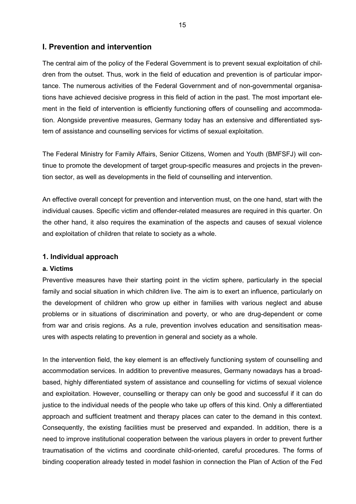### **I. Prevention and intervention**

The central aim of the policy of the Federal Government is to prevent sexual exploitation of children from the outset. Thus, work in the field of education and prevention is of particular importance. The numerous activities of the Federal Government and of non-governmental organisations have achieved decisive progress in this field of action in the past. The most important element in the field of intervention is efficiently functioning offers of counselling and accommodation. Alongside preventive measures, Germany today has an extensive and differentiated system of assistance and counselling services for victims of sexual exploitation.

The Federal Ministry for Family Affairs, Senior Citizens, Women and Youth (BMFSFJ) will continue to promote the development of target group-specific measures and projects in the prevention sector, as well as developments in the field of counselling and intervention.

An effective overall concept for prevention and intervention must, on the one hand, start with the individual causes. Specific victim and offender-related measures are required in this quarter. On the other hand, it also requires the examination of the aspects and causes of sexual violence and exploitation of children that relate to society as a whole.

#### **1. Individual approach**

#### **a. Victims**

Preventive measures have their starting point in the victim sphere, particularly in the special family and social situation in which children live. The aim is to exert an influence, particularly on the development of children who grow up either in families with various neglect and abuse problems or in situations of discrimination and poverty, or who are drug-dependent or come from war and crisis regions. As a rule, prevention involves education and sensitisation measures with aspects relating to prevention in general and society as a whole.

In the intervention field, the key element is an effectively functioning system of counselling and accommodation services. In addition to preventive measures, Germany nowadays has a broadbased, highly differentiated system of assistance and counselling for victims of sexual violence and exploitation. However, counselling or therapy can only be good and successful if it can do justice to the individual needs of the people who take up offers of this kind. Only a differentiated approach and sufficient treatment and therapy places can cater to the demand in this context. Consequently, the existing facilities must be preserved and expanded. In addition, there is a need to improve institutional cooperation between the various players in order to prevent further traumatisation of the victims and coordinate child-oriented, careful procedures. The forms of binding cooperation already tested in model fashion in connection the Plan of Action of the Fed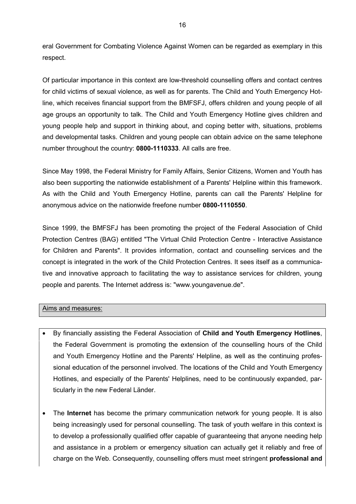eral Government for Combating Violence Against Women can be regarded as exemplary in this respect.

Of particular importance in this context are low-threshold counselling offers and contact centres for child victims of sexual violence, as well as for parents. The Child and Youth Emergency Hotline, which receives financial support from the BMFSFJ, offers children and young people of all age groups an opportunity to talk. The Child and Youth Emergency Hotline gives children and young people help and support in thinking about, and coping better with, situations, problems and developmental tasks. Children and young people can obtain advice on the same telephone number throughout the country: **0800-1110333**. All calls are free.

Since May 1998, the Federal Ministry for Family Affairs, Senior Citizens, Women and Youth has also been supporting the nationwide establishment of a Parents' Helpline within this framework. As with the Child and Youth Emergency Hotline, parents can call the Parents' Helpline for anonymous advice on the nationwide freefone number **0800-1110550**.

Since 1999, the BMFSFJ has been promoting the project of the Federal Association of Child Protection Centres (BAG) entitled "The Virtual Child Protection Centre - Interactive Assistance for Children and Parents". It provides information, contact and counselling services and the concept is integrated in the work of the Child Protection Centres. It sees itself as a communicative and innovative approach to facilitating the way to assistance services for children, young people and parents. The Internet address is: "www.youngavenue.de".

#### Aims and measures:

- By financially assisting the Federal Association of **Child and Youth Emergency Hotlines**, the Federal Government is promoting the extension of the counselling hours of the Child and Youth Emergency Hotline and the Parents' Helpline, as well as the continuing professional education of the personnel involved. The locations of the Child and Youth Emergency Hotlines, and especially of the Parents' Helplines, need to be continuously expanded, particularly in the new Federal Länder.
- The **Internet** has become the primary communication network for young people. It is also being increasingly used for personal counselling. The task of youth welfare in this context is to develop a professionally qualified offer capable of guaranteeing that anyone needing help and assistance in a problem or emergency situation can actually get it reliably and free of charge on the Web. Consequently, counselling offers must meet stringent **professional and**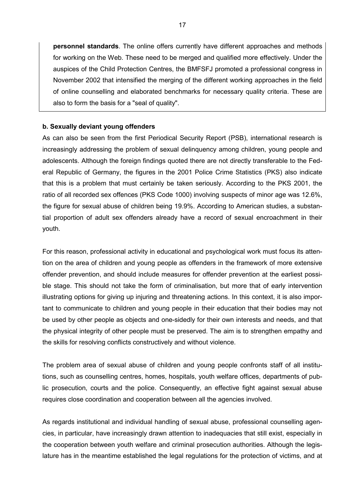**personnel standards**. The online offers currently have different approaches and methods for working on the Web. These need to be merged and qualified more effectively. Under the auspices of the Child Protection Centres, the BMFSFJ promoted a professional congress in November 2002 that intensified the merging of the different working approaches in the field of online counselling and elaborated benchmarks for necessary quality criteria. These are also to form the basis for a "seal of quality".

#### **b. Sexually deviant young offenders**

As can also be seen from the first Periodical Security Report (PSB), international research is increasingly addressing the problem of sexual delinquency among children, young people and adolescents. Although the foreign findings quoted there are not directly transferable to the Federal Republic of Germany, the figures in the 2001 Police Crime Statistics (PKS) also indicate that this is a problem that must certainly be taken seriously. According to the PKS 2001, the ratio of all recorded sex offences (PKS Code 1000) involving suspects of minor age was 12.6%, the figure for sexual abuse of children being 19.9%. According to American studies, a substantial proportion of adult sex offenders already have a record of sexual encroachment in their youth.

For this reason, professional activity in educational and psychological work must focus its attention on the area of children and young people as offenders in the framework of more extensive offender prevention, and should include measures for offender prevention at the earliest possible stage. This should not take the form of criminalisation, but more that of early intervention illustrating options for giving up injuring and threatening actions. In this context, it is also important to communicate to children and young people in their education that their bodies may not be used by other people as objects and one-sidedly for their own interests and needs, and that the physical integrity of other people must be preserved. The aim is to strengthen empathy and the skills for resolving conflicts constructively and without violence.

The problem area of sexual abuse of children and young people confronts staff of all institutions, such as counselling centres, homes, hospitals, youth welfare offices, departments of public prosecution, courts and the police. Consequently, an effective fight against sexual abuse requires close coordination and cooperation between all the agencies involved.

As regards institutional and individual handling of sexual abuse, professional counselling agencies, in particular, have increasingly drawn attention to inadequacies that still exist, especially in the cooperation between youth welfare and criminal prosecution authorities. Although the legislature has in the meantime established the legal regulations for the protection of victims, and at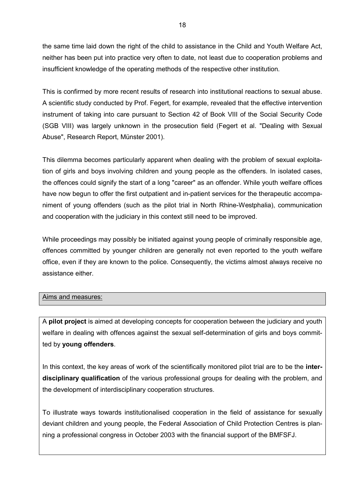the same time laid down the right of the child to assistance in the Child and Youth Welfare Act, neither has been put into practice very often to date, not least due to cooperation problems and insufficient knowledge of the operating methods of the respective other institution.

This is confirmed by more recent results of research into institutional reactions to sexual abuse. A scientific study conducted by Prof. Fegert, for example, revealed that the effective intervention instrument of taking into care pursuant to Section 42 of Book VIII of the Social Security Code (SGB VIII) was largely unknown in the prosecution field (Fegert et al. "Dealing with Sexual Abuse", Research Report, Münster 2001).

This dilemma becomes particularly apparent when dealing with the problem of sexual exploitation of girls and boys involving children and young people as the offenders. In isolated cases, the offences could signify the start of a long "career" as an offender. While youth welfare offices have now begun to offer the first outpatient and in-patient services for the therapeutic accompaniment of young offenders (such as the pilot trial in North Rhine-Westphalia), communication and cooperation with the judiciary in this context still need to be improved.

While proceedings may possibly be initiated against young people of criminally responsible age, offences committed by younger children are generally not even reported to the youth welfare office, even if they are known to the police. Consequently, the victims almost always receive no assistance either.

#### Aims and measures:

A **pilot project** is aimed at developing concepts for cooperation between the judiciary and youth welfare in dealing with offences against the sexual self-determination of girls and boys committed by **young offenders**.

In this context, the key areas of work of the scientifically monitored pilot trial are to be the **interdisciplinary qualification** of the various professional groups for dealing with the problem, and the development of interdisciplinary cooperation structures.

To illustrate ways towards institutionalised cooperation in the field of assistance for sexually deviant children and young people, the Federal Association of Child Protection Centres is planning a professional congress in October 2003 with the financial support of the BMFSFJ.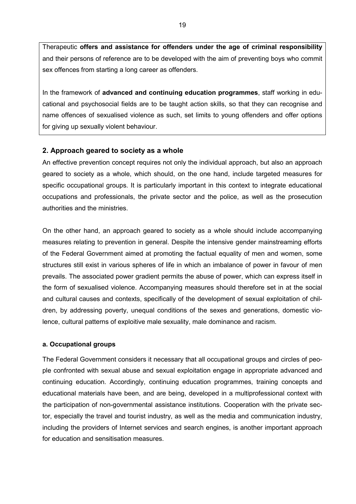Therapeutic **offers and assistance for offenders under the age of criminal responsibility** and their persons of reference are to be developed with the aim of preventing boys who commit sex offences from starting a long career as offenders.

In the framework of **advanced and continuing education programmes**, staff working in educational and psychosocial fields are to be taught action skills, so that they can recognise and name offences of sexualised violence as such, set limits to young offenders and offer options for giving up sexually violent behaviour.

#### **2. Approach geared to society as a whole**

An effective prevention concept requires not only the individual approach, but also an approach geared to society as a whole, which should, on the one hand, include targeted measures for specific occupational groups. It is particularly important in this context to integrate educational occupations and professionals, the private sector and the police, as well as the prosecution authorities and the ministries.

On the other hand, an approach geared to society as a whole should include accompanying measures relating to prevention in general. Despite the intensive gender mainstreaming efforts of the Federal Government aimed at promoting the factual equality of men and women, some structures still exist in various spheres of life in which an imbalance of power in favour of men prevails. The associated power gradient permits the abuse of power, which can express itself in the form of sexualised violence. Accompanying measures should therefore set in at the social and cultural causes and contexts, specifically of the development of sexual exploitation of children, by addressing poverty, unequal conditions of the sexes and generations, domestic violence, cultural patterns of exploitive male sexuality, male dominance and racism.

#### **a. Occupational groups**

The Federal Government considers it necessary that all occupational groups and circles of people confronted with sexual abuse and sexual exploitation engage in appropriate advanced and continuing education. Accordingly, continuing education programmes, training concepts and educational materials have been, and are being, developed in a multiprofessional context with the participation of non-governmental assistance institutions. Cooperation with the private sector, especially the travel and tourist industry, as well as the media and communication industry, including the providers of Internet services and search engines, is another important approach for education and sensitisation measures.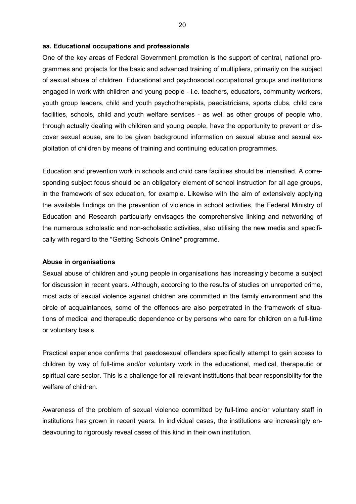#### **aa. Educational occupations and professionals**

One of the key areas of Federal Government promotion is the support of central, national programmes and projects for the basic and advanced training of multipliers, primarily on the subject of sexual abuse of children. Educational and psychosocial occupational groups and institutions engaged in work with children and young people - i.e. teachers, educators, community workers, youth group leaders, child and youth psychotherapists, paediatricians, sports clubs, child care facilities, schools, child and youth welfare services - as well as other groups of people who, through actually dealing with children and young people, have the opportunity to prevent or discover sexual abuse, are to be given background information on sexual abuse and sexual exploitation of children by means of training and continuing education programmes.

Education and prevention work in schools and child care facilities should be intensified. A corresponding subject focus should be an obligatory element of school instruction for all age groups, in the framework of sex education, for example. Likewise with the aim of extensively applying the available findings on the prevention of violence in school activities, the Federal Ministry of Education and Research particularly envisages the comprehensive linking and networking of the numerous scholastic and non-scholastic activities, also utilising the new media and specifically with regard to the "Getting Schools Online" programme.

#### **Abuse in organisations**

Sexual abuse of children and young people in organisations has increasingly become a subject for discussion in recent years. Although, according to the results of studies on unreported crime, most acts of sexual violence against children are committed in the family environment and the circle of acquaintances, some of the offences are also perpetrated in the framework of situations of medical and therapeutic dependence or by persons who care for children on a full-time or voluntary basis.

Practical experience confirms that paedosexual offenders specifically attempt to gain access to children by way of full-time and/or voluntary work in the educational, medical, therapeutic or spiritual care sector. This is a challenge for all relevant institutions that bear responsibility for the welfare of children.

Awareness of the problem of sexual violence committed by full-time and/or voluntary staff in institutions has grown in recent years. In individual cases, the institutions are increasingly endeavouring to rigorously reveal cases of this kind in their own institution.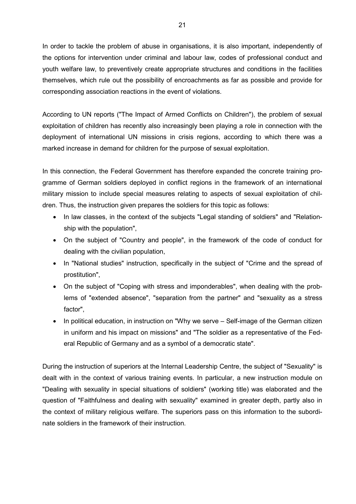In order to tackle the problem of abuse in organisations, it is also important, independently of the options for intervention under criminal and labour law, codes of professional conduct and youth welfare law, to preventively create appropriate structures and conditions in the facilities themselves, which rule out the possibility of encroachments as far as possible and provide for corresponding association reactions in the event of violations.

According to UN reports ("The Impact of Armed Conflicts on Children"), the problem of sexual exploitation of children has recently also increasingly been playing a role in connection with the deployment of international UN missions in crisis regions, according to which there was a marked increase in demand for children for the purpose of sexual exploitation.

In this connection, the Federal Government has therefore expanded the concrete training programme of German soldiers deployed in conflict regions in the framework of an international military mission to include special measures relating to aspects of sexual exploitation of children. Thus, the instruction given prepares the soldiers for this topic as follows:

- In law classes, in the context of the subjects "Legal standing of soldiers" and "Relationship with the population",
- On the subject of "Country and people", in the framework of the code of conduct for dealing with the civilian population,
- In "National studies" instruction, specifically in the subject of "Crime and the spread of prostitution",
- On the subject of "Coping with stress and imponderables", when dealing with the problems of "extended absence", "separation from the partner" and "sexuality as a stress factor",
- In political education, in instruction on "Why we serve Self-image of the German citizen in uniform and his impact on missions" and "The soldier as a representative of the Federal Republic of Germany and as a symbol of a democratic state".

During the instruction of superiors at the Internal Leadership Centre, the subject of "Sexuality" is dealt with in the context of various training events. In particular, a new instruction module on "Dealing with sexuality in special situations of soldiers" (working title) was elaborated and the question of "Faithfulness and dealing with sexuality" examined in greater depth, partly also in the context of military religious welfare. The superiors pass on this information to the subordinate soldiers in the framework of their instruction.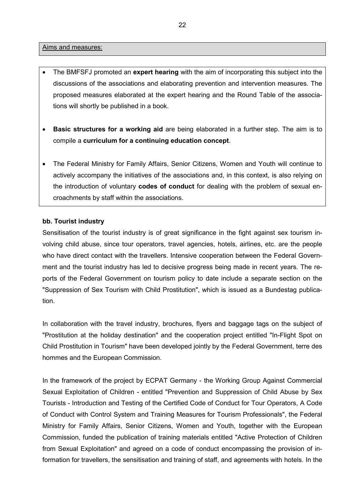#### Aims and measures:

- The BMFSFJ promoted an **expert hearing** with the aim of incorporating this subject into the discussions of the associations and elaborating prevention and intervention measures. The proposed measures elaborated at the expert hearing and the Round Table of the associations will shortly be published in a book.
- **Basic structures for a working aid** are being elaborated in a further step. The aim is to compile a **curriculum for a continuing education concept**.
- The Federal Ministry for Family Affairs, Senior Citizens, Women and Youth will continue to actively accompany the initiatives of the associations and, in this context, is also relying on the introduction of voluntary **codes of conduct** for dealing with the problem of sexual encroachments by staff within the associations.

#### **bb. Tourist industry**

Sensitisation of the tourist industry is of great significance in the fight against sex tourism involving child abuse, since tour operators, travel agencies, hotels, airlines, etc. are the people who have direct contact with the travellers. Intensive cooperation between the Federal Government and the tourist industry has led to decisive progress being made in recent years. The reports of the Federal Government on tourism policy to date include a separate section on the "Suppression of Sex Tourism with Child Prostitution", which is issued as a Bundestag publication.

In collaboration with the travel industry, brochures, flyers and baggage tags on the subject of "Prostitution at the holiday destination" and the cooperation project entitled "In-Flight Spot on Child Prostitution in Tourism" have been developed jointly by the Federal Government, terre des hommes and the European Commission.

In the framework of the project by ECPAT Germany - the Working Group Against Commercial Sexual Exploitation of Children - entitled "Prevention and Suppression of Child Abuse by Sex Tourists - Introduction and Testing of the Certified Code of Conduct for Tour Operators, A Code of Conduct with Control System and Training Measures for Tourism Professionals", the Federal Ministry for Family Affairs, Senior Citizens, Women and Youth, together with the European Commission, funded the publication of training materials entitled "Active Protection of Children from Sexual Exploitation" and agreed on a code of conduct encompassing the provision of information for travellers, the sensitisation and training of staff, and agreements with hotels. In the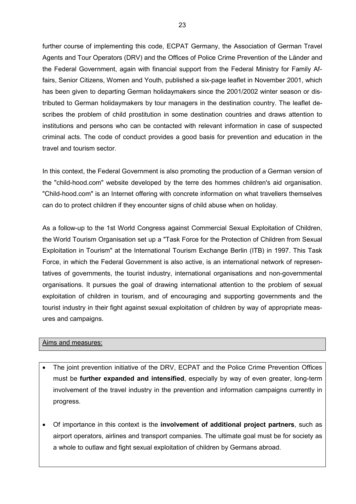further course of implementing this code, ECPAT Germany, the Association of German Travel Agents and Tour Operators (DRV) and the Offices of Police Crime Prevention of the Länder and the Federal Government, again with financial support from the Federal Ministry for Family Affairs, Senior Citizens, Women and Youth, published a six-page leaflet in November 2001, which has been given to departing German holidaymakers since the 2001/2002 winter season or distributed to German holidaymakers by tour managers in the destination country. The leaflet describes the problem of child prostitution in some destination countries and draws attention to institutions and persons who can be contacted with relevant information in case of suspected criminal acts. The code of conduct provides a good basis for prevention and education in the travel and tourism sector.

In this context, the Federal Government is also promoting the production of a German version of the "child-hood.com" website developed by the terre des hommes children's aid organisation. "Child-hood.com" is an Internet offering with concrete information on what travellers themselves can do to protect children if they encounter signs of child abuse when on holiday.

As a follow-up to the 1st World Congress against Commercial Sexual Exploitation of Children, the World Tourism Organisation set up a "Task Force for the Protection of Children from Sexual Exploitation in Tourism" at the International Tourism Exchange Berlin (ITB) in 1997. This Task Force, in which the Federal Government is also active, is an international network of representatives of governments, the tourist industry, international organisations and non-governmental organisations. It pursues the goal of drawing international attention to the problem of sexual exploitation of children in tourism, and of encouraging and supporting governments and the tourist industry in their fight against sexual exploitation of children by way of appropriate measures and campaigns.

#### Aims and measures:

- The joint prevention initiative of the DRV, ECPAT and the Police Crime Prevention Offices must be **further expanded and intensified**, especially by way of even greater, long-term involvement of the travel industry in the prevention and information campaigns currently in progress.
- Of importance in this context is the **involvement of additional project partners**, such as airport operators, airlines and transport companies. The ultimate goal must be for society as a whole to outlaw and fight sexual exploitation of children by Germans abroad.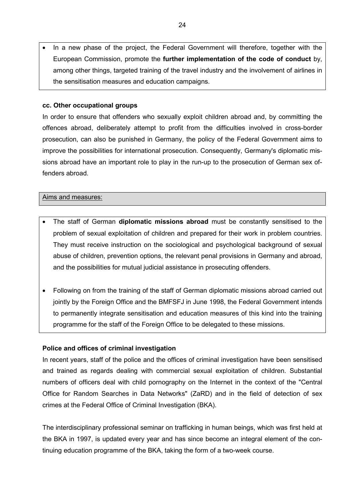In a new phase of the project, the Federal Government will therefore, together with the European Commission, promote the **further implementation of the code of conduct** by, among other things, targeted training of the travel industry and the involvement of airlines in the sensitisation measures and education campaigns.

#### **cc. Other occupational groups**

In order to ensure that offenders who sexually exploit children abroad and, by committing the offences abroad, deliberately attempt to profit from the difficulties involved in cross-border prosecution, can also be punished in Germany, the policy of the Federal Government aims to improve the possibilities for international prosecution. Consequently, Germany's diplomatic missions abroad have an important role to play in the run-up to the prosecution of German sex offenders abroad.

#### Aims and measures:

- The staff of German **diplomatic missions abroad** must be constantly sensitised to the problem of sexual exploitation of children and prepared for their work in problem countries. They must receive instruction on the sociological and psychological background of sexual abuse of children, prevention options, the relevant penal provisions in Germany and abroad, and the possibilities for mutual judicial assistance in prosecuting offenders.
- Following on from the training of the staff of German diplomatic missions abroad carried out jointly by the Foreign Office and the BMFSFJ in June 1998, the Federal Government intends to permanently integrate sensitisation and education measures of this kind into the training programme for the staff of the Foreign Office to be delegated to these missions.

#### **Police and offices of criminal investigation**

In recent years, staff of the police and the offices of criminal investigation have been sensitised and trained as regards dealing with commercial sexual exploitation of children. Substantial numbers of officers deal with child pornography on the Internet in the context of the "Central Office for Random Searches in Data Networks" (ZaRD) and in the field of detection of sex crimes at the Federal Office of Criminal Investigation (BKA).

The interdisciplinary professional seminar on trafficking in human beings, which was first held at the BKA in 1997, is updated every year and has since become an integral element of the continuing education programme of the BKA, taking the form of a two-week course.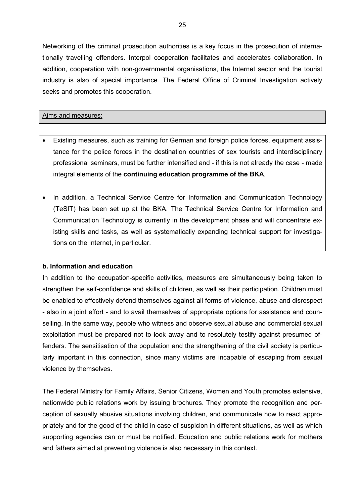Networking of the criminal prosecution authorities is a key focus in the prosecution of internationally travelling offenders. Interpol cooperation facilitates and accelerates collaboration. In addition, cooperation with non-governmental organisations, the Internet sector and the tourist industry is also of special importance. The Federal Office of Criminal Investigation actively seeks and promotes this cooperation.

#### Aims and measures:

- Existing measures, such as training for German and foreign police forces, equipment assistance for the police forces in the destination countries of sex tourists and interdisciplinary professional seminars, must be further intensified and - if this is not already the case - made integral elements of the **continuing education programme of the BKA**.
- In addition, a Technical Service Centre for Information and Communication Technology (TeSIT) has been set up at the BKA. The Technical Service Centre for Information and Communication Technology is currently in the development phase and will concentrate existing skills and tasks, as well as systematically expanding technical support for investigations on the Internet, in particular.

#### **b. Information and education**

In addition to the occupation-specific activities, measures are simultaneously being taken to strengthen the self-confidence and skills of children, as well as their participation. Children must be enabled to effectively defend themselves against all forms of violence, abuse and disrespect - also in a joint effort - and to avail themselves of appropriate options for assistance and counselling. In the same way, people who witness and observe sexual abuse and commercial sexual exploitation must be prepared not to look away and to resolutely testify against presumed offenders. The sensitisation of the population and the strengthening of the civil society is particularly important in this connection, since many victims are incapable of escaping from sexual violence by themselves.

The Federal Ministry for Family Affairs, Senior Citizens, Women and Youth promotes extensive, nationwide public relations work by issuing brochures. They promote the recognition and perception of sexually abusive situations involving children, and communicate how to react appropriately and for the good of the child in case of suspicion in different situations, as well as which supporting agencies can or must be notified. Education and public relations work for mothers and fathers aimed at preventing violence is also necessary in this context.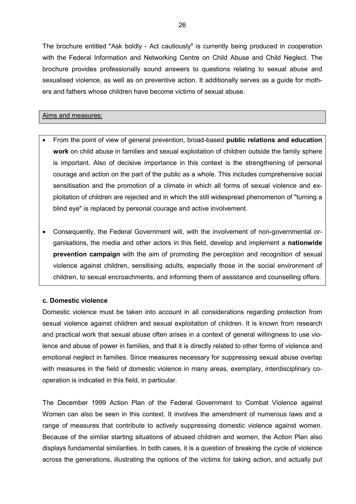The brochure entitled "Ask boldly - Act cautiously" is currently being produced in cooperation with the Federal Information and Networking Centre on Child Abuse and Child Neglect. The brochure provides professionally sound answers to questions relating to sexual abuse and sexualised violence, as well as on preventive action. It additionally serves as a guide for mothers and fathers whose children have become victims of sexual abuse.

#### Aims and measures:

- From the point of view of general prevention, broad-based **public relations and education work** on child abuse in families and sexual exploitation of children outside the family sphere is important. Also of decisive importance in this context is the strengthening of personal courage and action on the part of the public as a whole. This includes comprehensive social sensitisation and the promotion of a climate in which all forms of sexual violence and exploitation of children are rejected and in which the still widespread phenomenon of "turning a blind eye" is replaced by personal courage and active involvement.
- Consequently, the Federal Government will, with the involvement of non-governmental organisations, the media and other actors in this field, develop and implement a **nationwide prevention campaign** with the aim of promoting the perception and recognition of sexual violence against children, sensitising adults, especially those in the social environment of children, to sexual encroachments, and informing them of assistance and counselling offers.

#### **c. Domestic violence**

Domestic violence must be taken into account in all considerations regarding protection from sexual violence against children and sexual exploitation of children. It is known from research and practical work that sexual abuse often arises in a context of general willingness to use violence and abuse of power in families, and that it is directly related to other forms of violence and emotional neglect in families. Since measures necessary for suppressing sexual abuse overlap with measures in the field of domestic violence in many areas, exemplary, interdisciplinary cooperation is indicated in this field, in particular.

The December 1999 Action Plan of the Federal Government to Combat Violence against Women can also be seen in this context. It involves the amendment of numerous laws and a range of measures that contribute to actively suppressing domestic violence against women. Because of the similar starting situations of abused children and women, the Action Plan also displays fundamental similarities. In both cases, it is a question of breaking the cycle of violence across the generations, illustrating the options of the victims for taking action, and actually put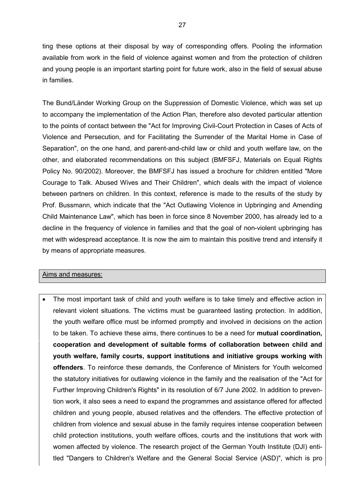ting these options at their disposal by way of corresponding offers. Pooling the information available from work in the field of violence against women and from the protection of children and young people is an important starting point for future work, also in the field of sexual abuse in families.

The Bund/Länder Working Group on the Suppression of Domestic Violence, which was set up to accompany the implementation of the Action Plan, therefore also devoted particular attention to the points of contact between the "Act for Improving Civil-Court Protection in Cases of Acts of Violence and Persecution, and for Facilitating the Surrender of the Marital Home in Case of Separation", on the one hand, and parent-and-child law or child and youth welfare law, on the other, and elaborated recommendations on this subject (BMFSFJ, Materials on Equal Rights Policy No. 90/2002). Moreover, the BMFSFJ has issued a brochure for children entitled "More Courage to Talk. Abused Wives and Their Children", which deals with the impact of violence between partners on children. In this context, reference is made to the results of the study by Prof. Bussmann, which indicate that the "Act Outlawing Violence in Upbringing and Amending Child Maintenance Law", which has been in force since 8 November 2000, has already led to a decline in the frequency of violence in families and that the goal of non-violent upbringing has met with widespread acceptance. It is now the aim to maintain this positive trend and intensify it by means of appropriate measures.

#### Aims and measures:

 The most important task of child and youth welfare is to take timely and effective action in relevant violent situations. The victims must be guaranteed lasting protection. In addition, the youth welfare office must be informed promptly and involved in decisions on the action to be taken. To achieve these aims, there continues to be a need for **mutual coordination, cooperation and development of suitable forms of collaboration between child and youth welfare, family courts, support institutions and initiative groups working with offenders**. To reinforce these demands, the Conference of Ministers for Youth welcomed the statutory initiatives for outlawing violence in the family and the realisation of the "Act for Further Improving Children's Rights" in its resolution of 6/7 June 2002. In addition to prevention work, it also sees a need to expand the programmes and assistance offered for affected children and young people, abused relatives and the offenders. The effective protection of children from violence and sexual abuse in the family requires intense cooperation between child protection institutions, youth welfare offices, courts and the institutions that work with women affected by violence. The research project of the German Youth Institute (DJI) entitled "Dangers to Children's Welfare and the General Social Service (ASD)", which is pro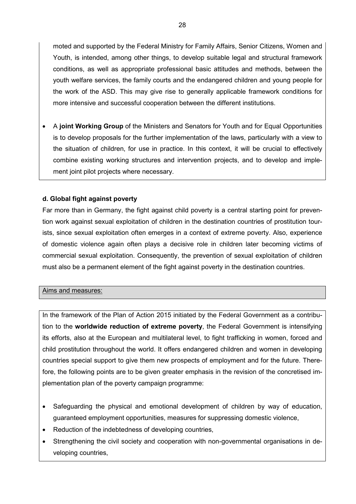moted and supported by the Federal Ministry for Family Affairs, Senior Citizens, Women and Youth, is intended, among other things, to develop suitable legal and structural framework conditions, as well as appropriate professional basic attitudes and methods, between the youth welfare services, the family courts and the endangered children and young people for the work of the ASD. This may give rise to generally applicable framework conditions for more intensive and successful cooperation between the different institutions.

 A **joint Working Group** of the Ministers and Senators for Youth and for Equal Opportunities is to develop proposals for the further implementation of the laws, particularly with a view to the situation of children, for use in practice. In this context, it will be crucial to effectively combine existing working structures and intervention projects, and to develop and implement joint pilot projects where necessary.

#### **d. Global fight against poverty**

Far more than in Germany, the fight against child poverty is a central starting point for prevention work against sexual exploitation of children in the destination countries of prostitution tourists, since sexual exploitation often emerges in a context of extreme poverty. Also, experience of domestic violence again often plays a decisive role in children later becoming victims of commercial sexual exploitation. Consequently, the prevention of sexual exploitation of children must also be a permanent element of the fight against poverty in the destination countries.

#### Aims and measures:

In the framework of the Plan of Action 2015 initiated by the Federal Government as a contribution to the **worldwide reduction of extreme poverty**, the Federal Government is intensifying its efforts, also at the European and multilateral level, to fight trafficking in women, forced and child prostitution throughout the world. It offers endangered children and women in developing countries special support to give them new prospects of employment and for the future. Therefore, the following points are to be given greater emphasis in the revision of the concretised implementation plan of the poverty campaign programme:

- Safeguarding the physical and emotional development of children by way of education, guaranteed employment opportunities, measures for suppressing domestic violence,
- Reduction of the indebtedness of developing countries,
- Strengthening the civil society and cooperation with non-governmental organisations in developing countries,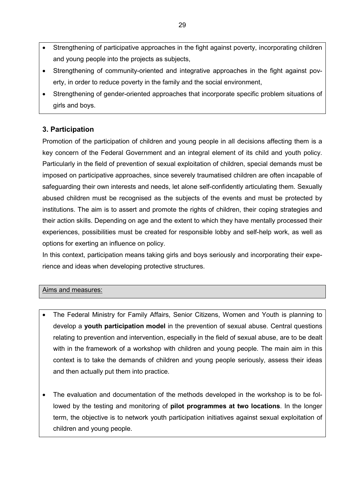- Strengthening of participative approaches in the fight against poverty, incorporating children and young people into the projects as subjects,
- Strengthening of community-oriented and integrative approaches in the fight against poverty, in order to reduce poverty in the family and the social environment,
- Strengthening of gender-oriented approaches that incorporate specific problem situations of girls and boys.

## **3. Participation**

Promotion of the participation of children and young people in all decisions affecting them is a key concern of the Federal Government and an integral element of its child and youth policy. Particularly in the field of prevention of sexual exploitation of children, special demands must be imposed on participative approaches, since severely traumatised children are often incapable of safeguarding their own interests and needs, let alone self-confidently articulating them. Sexually abused children must be recognised as the subjects of the events and must be protected by institutions. The aim is to assert and promote the rights of children, their coping strategies and their action skills. Depending on age and the extent to which they have mentally processed their experiences, possibilities must be created for responsible lobby and self-help work, as well as options for exerting an influence on policy.

In this context, participation means taking girls and boys seriously and incorporating their experience and ideas when developing protective structures.

#### Aims and measures:

- The Federal Ministry for Family Affairs, Senior Citizens, Women and Youth is planning to develop a **youth participation model** in the prevention of sexual abuse. Central questions relating to prevention and intervention, especially in the field of sexual abuse, are to be dealt with in the framework of a workshop with children and young people. The main aim in this context is to take the demands of children and young people seriously, assess their ideas and then actually put them into practice.
- The evaluation and documentation of the methods developed in the workshop is to be followed by the testing and monitoring of **pilot programmes at two locations**. In the longer term, the objective is to network youth participation initiatives against sexual exploitation of children and young people.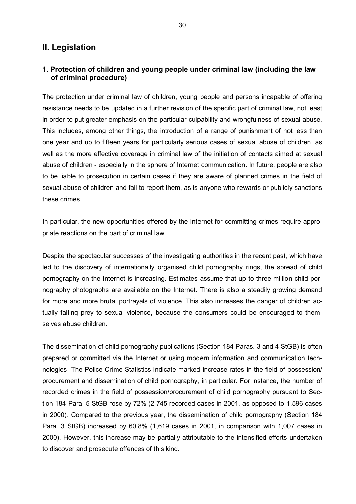## **II. Legislation**

### **1. Protection of children and young people under criminal law (including the law of criminal procedure)**

The protection under criminal law of children, young people and persons incapable of offering resistance needs to be updated in a further revision of the specific part of criminal law, not least in order to put greater emphasis on the particular culpability and wrongfulness of sexual abuse. This includes, among other things, the introduction of a range of punishment of not less than one year and up to fifteen years for particularly serious cases of sexual abuse of children, as well as the more effective coverage in criminal law of the initiation of contacts aimed at sexual abuse of children - especially in the sphere of Internet communication. In future, people are also to be liable to prosecution in certain cases if they are aware of planned crimes in the field of sexual abuse of children and fail to report them, as is anyone who rewards or publicly sanctions these crimes.

In particular, the new opportunities offered by the Internet for committing crimes require appropriate reactions on the part of criminal law.

Despite the spectacular successes of the investigating authorities in the recent past, which have led to the discovery of internationally organised child pornography rings, the spread of child pornography on the Internet is increasing. Estimates assume that up to three million child pornography photographs are available on the Internet. There is also a steadily growing demand for more and more brutal portrayals of violence. This also increases the danger of children actually falling prey to sexual violence, because the consumers could be encouraged to themselves abuse children.

The dissemination of child pornography publications (Section 184 Paras. 3 and 4 StGB) is often prepared or committed via the Internet or using modern information and communication technologies. The Police Crime Statistics indicate marked increase rates in the field of possession/ procurement and dissemination of child pornography, in particular. For instance, the number of recorded crimes in the field of possession/procurement of child pornography pursuant to Section 184 Para. 5 StGB rose by 72% (2,745 recorded cases in 2001, as opposed to 1,596 cases in 2000). Compared to the previous year, the dissemination of child pornography (Section 184 Para. 3 StGB) increased by 60.8% (1,619 cases in 2001, in comparison with 1,007 cases in 2000). However, this increase may be partially attributable to the intensified efforts undertaken to discover and prosecute offences of this kind.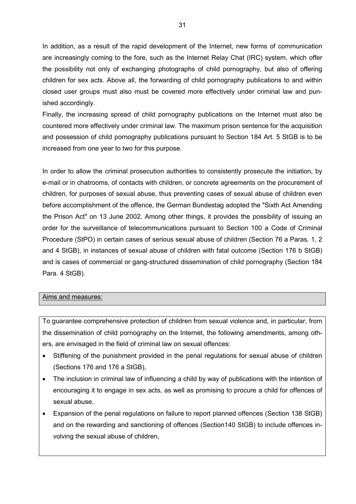In addition, as a result of the rapid development of the Internet, new forms of communication are increasingly coming to the fore, such as the Internet Relay Chat (IRC) system, which offer the possibility not only of exchanging photographs of child pornography, but also of offering children for sex acts. Above all, the forwarding of child pornography publications to and within closed user groups must also must be covered more effectively under criminal law and punished accordingly.

Finally, the increasing spread of child pornography publications on the Internet must also be countered more effectively under criminal law. The maximum prison sentence for the acquisition and possession of child pornography publications pursuant to Section 184 Art. 5 StGB is to be increased from one year to two for this purpose.

In order to allow the criminal prosecution authorities to consistently prosecute the initiation, by e-mail or in chatrooms, of contacts with children, or concrete agreements on the procurement of children, for purposes of sexual abuse, thus preventing cases of sexual abuse of children even before accomplishment of the offence, the German Bundestag adopted the "Sixth Act Amending the Prison Act" on 13 June 2002. Among other things, it provides the possibility of issuing an order for the surveillance of telecommunications pursuant to Section 100 a Code of Criminal Procedure (StPO) in certain cases of serious sexual abuse of children (Section 76 a Paras. 1, 2 and 4 StGB), in instances of sexual abuse of children with fatal outcome (Section 176 b StGB) and is cases of commercial or gang-structured dissemination of child pornography (Section 184 Para. 4 StGB).

#### Aims and measures:

To guarantee comprehensive protection of children from sexual violence and, in particular, from the dissemination of child pornography on the Internet, the following amendments, among others, are envisaged in the field of criminal law on sexual offences:

- Stiffening of the punishment provided in the penal regulations for sexual abuse of children (Sections 176 and 176 a StGB),
- The inclusion in criminal law of influencing a child by way of publications with the intention of encouraging it to engage in sex acts, as well as promising to procure a child for offences of sexual abuse,
- Expansion of the penal regulations on failure to report planned offences (Section 138 StGB) and on the rewarding and sanctioning of offences (Section140 StGB) to include offences involving the sexual abuse of children,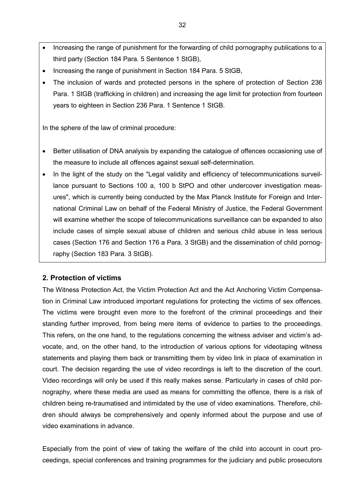- Increasing the range of punishment for the forwarding of child pornography publications to a third party (Section 184 Para. 5 Sentence 1 StGB),
- Increasing the range of punishment in Section 184 Para. 5 StGB,
- The inclusion of wards and protected persons in the sphere of protection of Section 236 Para. 1 StGB (trafficking in children) and increasing the age limit for protection from fourteen years to eighteen in Section 236 Para. 1 Sentence 1 StGB.

In the sphere of the law of criminal procedure:

- Better utilisation of DNA analysis by expanding the catalogue of offences occasioning use of the measure to include all offences against sexual self-determination.
- In the light of the study on the "Legal validity and efficiency of telecommunications surveillance pursuant to Sections 100 a, 100 b StPO and other undercover investigation measures", which is currently being conducted by the Max Planck Institute for Foreign and International Criminal Law on behalf of the Federal Ministry of Justice, the Federal Government will examine whether the scope of telecommunications surveillance can be expanded to also include cases of simple sexual abuse of children and serious child abuse in less serious cases (Section 176 and Section 176 a Para. 3 StGB) and the dissemination of child pornography (Section 183 Para. 3 StGB).

#### **2. Protection of victims**

The Witness Protection Act, the Victim Protection Act and the Act Anchoring Victim Compensation in Criminal Law introduced important regulations for protecting the victims of sex offences. The victims were brought even more to the forefront of the criminal proceedings and their standing further improved, from being mere items of evidence to parties to the proceedings. This refers, on the one hand, to the regulations concerning the witness adviser and victim's advocate, and, on the other hand, to the introduction of various options for videotaping witness statements and playing them back or transmitting them by video link in place of examination in court. The decision regarding the use of video recordings is left to the discretion of the court. Video recordings will only be used if this really makes sense. Particularly in cases of child pornography, where these media are used as means for committing the offence, there is a risk of children being re-traumatised and intimidated by the use of video examinations. Therefore, children should always be comprehensively and openly informed about the purpose and use of video examinations in advance.

Especially from the point of view of taking the welfare of the child into account in court proceedings, special conferences and training programmes for the judiciary and public prosecutors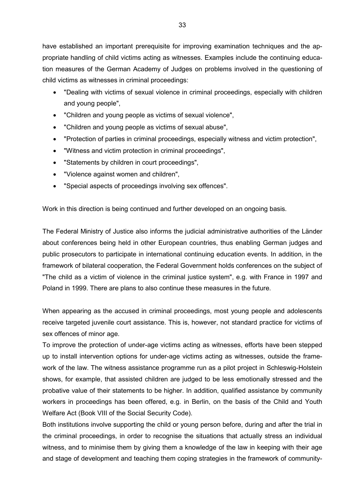have established an important prerequisite for improving examination techniques and the appropriate handling of child victims acting as witnesses. Examples include the continuing education measures of the German Academy of Judges on problems involved in the questioning of child victims as witnesses in criminal proceedings:

- "Dealing with victims of sexual violence in criminal proceedings, especially with children and young people",
- "Children and young people as victims of sexual violence",
- "Children and young people as victims of sexual abuse",
- "Protection of parties in criminal proceedings, especially witness and victim protection",
- "Witness and victim protection in criminal proceedings",
- "Statements by children in court proceedings",
- "Violence against women and children",
- "Special aspects of proceedings involving sex offences".

Work in this direction is being continued and further developed on an ongoing basis.

The Federal Ministry of Justice also informs the judicial administrative authorities of the Länder about conferences being held in other European countries, thus enabling German judges and public prosecutors to participate in international continuing education events. In addition, in the framework of bilateral cooperation, the Federal Government holds conferences on the subject of "The child as a victim of violence in the criminal justice system", e.g. with France in 1997 and Poland in 1999. There are plans to also continue these measures in the future.

When appearing as the accused in criminal proceedings, most young people and adolescents receive targeted juvenile court assistance. This is, however, not standard practice for victims of sex offences of minor age.

To improve the protection of under-age victims acting as witnesses, efforts have been stepped up to install intervention options for under-age victims acting as witnesses, outside the framework of the law. The witness assistance programme run as a pilot project in Schleswig-Holstein shows, for example, that assisted children are judged to be less emotionally stressed and the probative value of their statements to be higher. In addition, qualified assistance by community workers in proceedings has been offered, e.g. in Berlin, on the basis of the Child and Youth Welfare Act (Book VIII of the Social Security Code).

Both institutions involve supporting the child or young person before, during and after the trial in the criminal proceedings, in order to recognise the situations that actually stress an individual witness, and to minimise them by giving them a knowledge of the law in keeping with their age and stage of development and teaching them coping strategies in the framework of community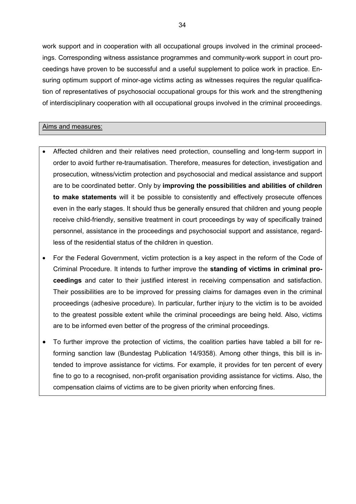work support and in cooperation with all occupational groups involved in the criminal proceedings. Corresponding witness assistance programmes and community-work support in court proceedings have proven to be successful and a useful supplement to police work in practice. Ensuring optimum support of minor-age victims acting as witnesses requires the regular qualification of representatives of psychosocial occupational groups for this work and the strengthening of interdisciplinary cooperation with all occupational groups involved in the criminal proceedings.

#### Aims and measures:

- Affected children and their relatives need protection, counselling and long-term support in order to avoid further re-traumatisation. Therefore, measures for detection, investigation and prosecution, witness/victim protection and psychosocial and medical assistance and support are to be coordinated better. Only by **improving the possibilities and abilities of children to make statements** will it be possible to consistently and effectively prosecute offences even in the early stages. It should thus be generally ensured that children and young people receive child-friendly, sensitive treatment in court proceedings by way of specifically trained personnel, assistance in the proceedings and psychosocial support and assistance, regardless of the residential status of the children in question.
- For the Federal Government, victim protection is a key aspect in the reform of the Code of Criminal Procedure. It intends to further improve the **standing of victims in criminal proceedings** and cater to their justified interest in receiving compensation and satisfaction. Their possibilities are to be improved for pressing claims for damages even in the criminal proceedings (adhesive procedure). In particular, further injury to the victim is to be avoided to the greatest possible extent while the criminal proceedings are being held. Also, victims are to be informed even better of the progress of the criminal proceedings.
- To further improve the protection of victims, the coalition parties have tabled a bill for reforming sanction law (Bundestag Publication 14/9358). Among other things, this bill is intended to improve assistance for victims. For example, it provides for ten percent of every fine to go to a recognised, non-profit organisation providing assistance for victims. Also, the compensation claims of victims are to be given priority when enforcing fines.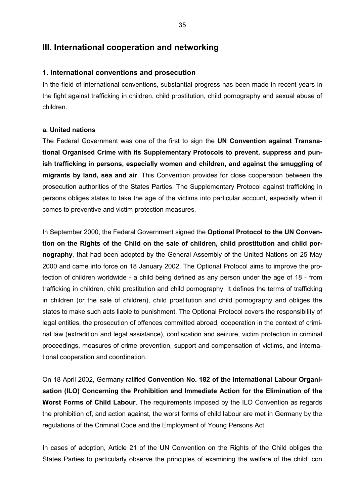### **III. International cooperation and networking**

#### **1. International conventions and prosecution**

In the field of international conventions, substantial progress has been made in recent years in the fight against trafficking in children, child prostitution, child pornography and sexual abuse of children.

#### **a. United nations**

The Federal Government was one of the first to sign the **UN Convention against Transnational Organised Crime with its Supplementary Protocols to prevent, suppress and punish trafficking in persons, especially women and children, and against the smuggling of migrants by land, sea and air**. This Convention provides for close cooperation between the prosecution authorities of the States Parties. The Supplementary Protocol against trafficking in persons obliges states to take the age of the victims into particular account, especially when it comes to preventive and victim protection measures.

In September 2000, the Federal Government signed the **Optional Protocol to the UN Convention on the Rights of the Child on the sale of children, child prostitution and child pornography**, that had been adopted by the General Assembly of the United Nations on 25 May 2000 and came into force on 18 January 2002. The Optional Protocol aims to improve the protection of children worldwide - a child being defined as any person under the age of 18 - from trafficking in children, child prostitution and child pornography. It defines the terms of trafficking in children (or the sale of children), child prostitution and child pornography and obliges the states to make such acts liable to punishment. The Optional Protocol covers the responsibility of legal entities, the prosecution of offences committed abroad, cooperation in the context of criminal law (extradition and legal assistance), confiscation and seizure, victim protection in criminal proceedings, measures of crime prevention, support and compensation of victims, and international cooperation and coordination.

On 18 April 2002, Germany ratified **Convention No. 182 of the International Labour Organisation (ILO) Concerning the Prohibition and Immediate Action for the Elimination of the Worst Forms of Child Labour**. The requirements imposed by the ILO Convention as regards the prohibition of, and action against, the worst forms of child labour are met in Germany by the regulations of the Criminal Code and the Employment of Young Persons Act.

In cases of adoption, Article 21 of the UN Convention on the Rights of the Child obliges the States Parties to particularly observe the principles of examining the welfare of the child, con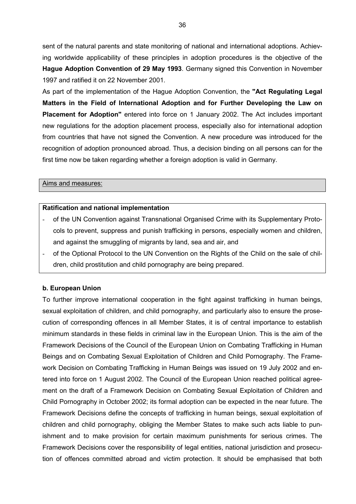sent of the natural parents and state monitoring of national and international adoptions. Achieving worldwide applicability of these principles in adoption procedures is the objective of the **Hague Adoption Convention of 29 May 1993**. Germany signed this Convention in November 1997 and ratified it on 22 November 2001.

As part of the implementation of the Hague Adoption Convention, the **"Act Regulating Legal Matters in the Field of International Adoption and for Further Developing the Law on Placement for Adoption"** entered into force on 1 January 2002. The Act includes important new regulations for the adoption placement process, especially also for international adoption from countries that have not signed the Convention. A new procedure was introduced for the recognition of adoption pronounced abroad. Thus, a decision binding on all persons can for the first time now be taken regarding whether a foreign adoption is valid in Germany.

#### Aims and measures:

#### **Ratification and national implementation**

- of the UN Convention against Transnational Organised Crime with its Supplementary Protocols to prevent, suppress and punish trafficking in persons, especially women and children, and against the smuggling of migrants by land, sea and air, and
- of the Optional Protocol to the UN Convention on the Rights of the Child on the sale of children, child prostitution and child pornography are being prepared.

#### **b. European Union**

To further improve international cooperation in the fight against trafficking in human beings, sexual exploitation of children, and child pornography, and particularly also to ensure the prosecution of corresponding offences in all Member States, it is of central importance to establish minimum standards in these fields in criminal law in the European Union. This is the aim of the Framework Decisions of the Council of the European Union on Combating Trafficking in Human Beings and on Combating Sexual Exploitation of Children and Child Pornography. The Framework Decision on Combating Trafficking in Human Beings was issued on 19 July 2002 and entered into force on 1 August 2002. The Council of the European Union reached political agreement on the draft of a Framework Decision on Combating Sexual Exploitation of Children and Child Pornography in October 2002; its formal adoption can be expected in the near future. The Framework Decisions define the concepts of trafficking in human beings, sexual exploitation of children and child pornography, obliging the Member States to make such acts liable to punishment and to make provision for certain maximum punishments for serious crimes. The Framework Decisions cover the responsibility of legal entities, national jurisdiction and prosecution of offences committed abroad and victim protection. It should be emphasised that both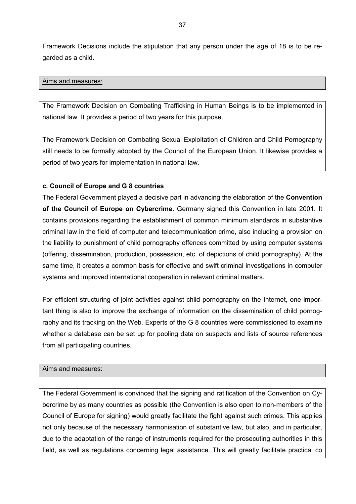Framework Decisions include the stipulation that any person under the age of 18 is to be regarded as a child.

#### Aims and measures:

The Framework Decision on Combating Trafficking in Human Beings is to be implemented in national law. It provides a period of two years for this purpose.

The Framework Decision on Combating Sexual Exploitation of Children and Child Pornography still needs to be formally adopted by the Council of the European Union. It likewise provides a period of two years for implementation in national law.

#### **c. Council of Europe and G 8 countries**

The Federal Government played a decisive part in advancing the elaboration of the **Convention of the Council of Europe on Cybercrime**. Germany signed this Convention in late 2001. It contains provisions regarding the establishment of common minimum standards in substantive criminal law in the field of computer and telecommunication crime, also including a provision on the liability to punishment of child pornography offences committed by using computer systems (offering, dissemination, production, possession, etc. of depictions of child pornography). At the same time, it creates a common basis for effective and swift criminal investigations in computer systems and improved international cooperation in relevant criminal matters.

For efficient structuring of joint activities against child pornography on the Internet, one important thing is also to improve the exchange of information on the dissemination of child pornography and its tracking on the Web. Experts of the G 8 countries were commissioned to examine whether a database can be set up for pooling data on suspects and lists of source references from all participating countries.

#### Aims and measures:

The Federal Government is convinced that the signing and ratification of the Convention on Cybercrime by as many countries as possible (the Convention is also open to non-members of the Council of Europe for signing) would greatly facilitate the fight against such crimes. This applies not only because of the necessary harmonisation of substantive law, but also, and in particular, due to the adaptation of the range of instruments required for the prosecuting authorities in this field, as well as regulations concerning legal assistance. This will greatly facilitate practical co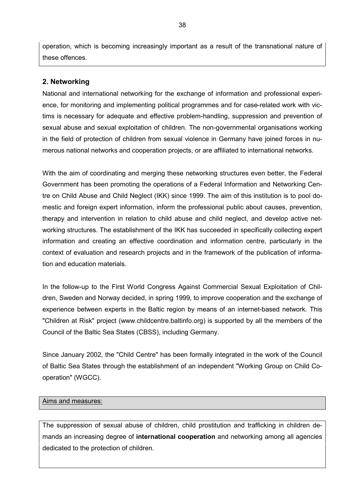operation, which is becoming increasingly important as a result of the transnational nature of these offences.

### **2. Networking**

National and international networking for the exchange of information and professional experience, for monitoring and implementing political programmes and for case-related work with victims is necessary for adequate and effective problem-handling, suppression and prevention of sexual abuse and sexual exploitation of children. The non-governmental organisations working in the field of protection of children from sexual violence in Germany have joined forces in numerous national networks and cooperation projects, or are affiliated to international networks.

With the aim of coordinating and merging these networking structures even better, the Federal Government has been promoting the operations of a Federal Information and Networking Centre on Child Abuse and Child Neglect (IKK) since 1999. The aim of this institution is to pool domestic and foreign expert information, inform the professional public about causes, prevention, therapy and intervention in relation to child abuse and child neglect, and develop active networking structures. The establishment of the IKK has succeeded in specifically collecting expert information and creating an effective coordination and information centre, particularly in the context of evaluation and research projects and in the framework of the publication of information and education materials.

In the follow-up to the First World Congress Against Commercial Sexual Exploitation of Children, Sweden and Norway decided, in spring 1999, to improve cooperation and the exchange of experience between experts in the Baltic region by means of an internet-based network. This "Children at Risk" project (www.childcentre.baltinfo.org) is supported by all the members of the Council of the Baltic Sea States (CBSS), including Germany.

Since January 2002, the "Child Centre" has been formally integrated in the work of the Council of Baltic Sea States through the establishment of an independent "Working Group on Child Cooperation" (WGCC).

#### Aims and measures:

The suppression of sexual abuse of children, child prostitution and trafficking in children demands an increasing degree of **international cooperation** and networking among all agencies dedicated to the protection of children.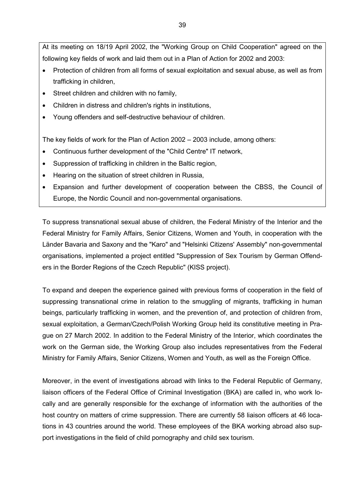At its meeting on 18/19 April 2002, the "Working Group on Child Cooperation" agreed on the following key fields of work and laid them out in a Plan of Action for 2002 and 2003:

- Protection of children from all forms of sexual exploitation and sexual abuse, as well as from trafficking in children,
- Street children and children with no family,
- Children in distress and children's rights in institutions,
- Young offenders and self-destructive behaviour of children.

The key fields of work for the Plan of Action 2002 – 2003 include, among others:

- Continuous further development of the "Child Centre" IT network,
- Suppression of trafficking in children in the Baltic region,
- Hearing on the situation of street children in Russia,
- Expansion and further development of cooperation between the CBSS, the Council of Europe, the Nordic Council and non-governmental organisations.

To suppress transnational sexual abuse of children, the Federal Ministry of the Interior and the Federal Ministry for Family Affairs, Senior Citizens, Women and Youth, in cooperation with the Länder Bavaria and Saxony and the "Karo" and "Helsinki Citizens' Assembly" non-governmental organisations, implemented a project entitled "Suppression of Sex Tourism by German Offenders in the Border Regions of the Czech Republic" (KISS project).

To expand and deepen the experience gained with previous forms of cooperation in the field of suppressing transnational crime in relation to the smuggling of migrants, trafficking in human beings, particularly trafficking in women, and the prevention of, and protection of children from, sexual exploitation, a German/Czech/Polish Working Group held its constitutive meeting in Prague on 27 March 2002. In addition to the Federal Ministry of the Interior, which coordinates the work on the German side, the Working Group also includes representatives from the Federal Ministry for Family Affairs, Senior Citizens, Women and Youth, as well as the Foreign Office.

Moreover, in the event of investigations abroad with links to the Federal Republic of Germany, liaison officers of the Federal Office of Criminal Investigation (BKA) are called in, who work locally and are generally responsible for the exchange of information with the authorities of the host country on matters of crime suppression. There are currently 58 liaison officers at 46 locations in 43 countries around the world. These employees of the BKA working abroad also support investigations in the field of child pornography and child sex tourism.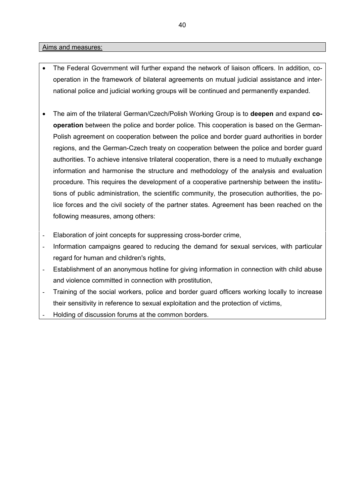#### Aims and measures:

- The Federal Government will further expand the network of liaison officers. In addition, cooperation in the framework of bilateral agreements on mutual judicial assistance and international police and judicial working groups will be continued and permanently expanded.
- The aim of the trilateral German/Czech/Polish Working Group is to **deepen** and expand **cooperation** between the police and border police. This cooperation is based on the German-Polish agreement on cooperation between the police and border guard authorities in border regions, and the German-Czech treaty on cooperation between the police and border guard authorities. To achieve intensive trilateral cooperation, there is a need to mutually exchange information and harmonise the structure and methodology of the analysis and evaluation procedure. This requires the development of a cooperative partnership between the institutions of public administration, the scientific community, the prosecution authorities, the police forces and the civil society of the partner states. Agreement has been reached on the following measures, among others:
- Elaboration of joint concepts for suppressing cross-border crime,
- Information campaigns geared to reducing the demand for sexual services, with particular regard for human and children's rights,
- Establishment of an anonymous hotline for giving information in connection with child abuse and violence committed in connection with prostitution,
- Training of the social workers, police and border guard officers working locally to increase their sensitivity in reference to sexual exploitation and the protection of victims,
	- Holding of discussion forums at the common borders.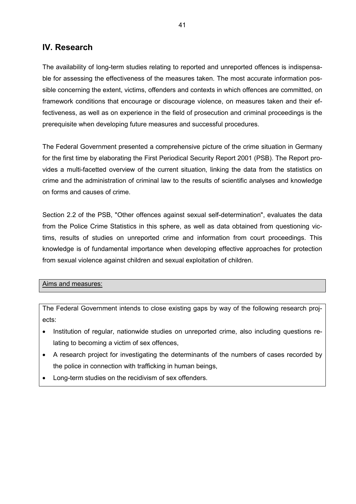## **IV. Research**

The availability of long-term studies relating to reported and unreported offences is indispensable for assessing the effectiveness of the measures taken. The most accurate information possible concerning the extent, victims, offenders and contexts in which offences are committed, on framework conditions that encourage or discourage violence, on measures taken and their effectiveness, as well as on experience in the field of prosecution and criminal proceedings is the prerequisite when developing future measures and successful procedures.

The Federal Government presented a comprehensive picture of the crime situation in Germany for the first time by elaborating the First Periodical Security Report 2001 (PSB). The Report provides a multi-facetted overview of the current situation, linking the data from the statistics on crime and the administration of criminal law to the results of scientific analyses and knowledge on forms and causes of crime.

Section 2.2 of the PSB, "Other offences against sexual self-determination", evaluates the data from the Police Crime Statistics in this sphere, as well as data obtained from questioning victims, results of studies on unreported crime and information from court proceedings. This knowledge is of fundamental importance when developing effective approaches for protection from sexual violence against children and sexual exploitation of children.

#### Aims and measures:

The Federal Government intends to close existing gaps by way of the following research projects:

- Institution of regular, nationwide studies on unreported crime, also including questions relating to becoming a victim of sex offences,
- A research project for investigating the determinants of the numbers of cases recorded by the police in connection with trafficking in human beings,
- Long-term studies on the recidivism of sex offenders.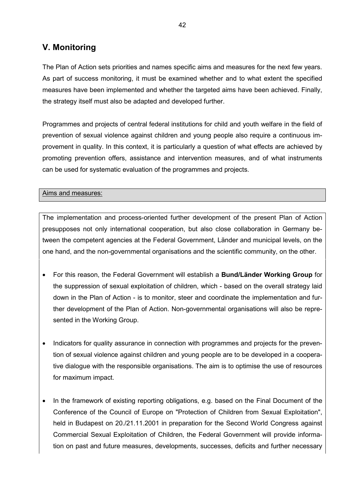## **V. Monitoring**

The Plan of Action sets priorities and names specific aims and measures for the next few years. As part of success monitoring, it must be examined whether and to what extent the specified measures have been implemented and whether the targeted aims have been achieved. Finally, the strategy itself must also be adapted and developed further.

Programmes and projects of central federal institutions for child and youth welfare in the field of prevention of sexual violence against children and young people also require a continuous improvement in quality. In this context, it is particularly a question of what effects are achieved by promoting prevention offers, assistance and intervention measures, and of what instruments can be used for systematic evaluation of the programmes and projects.

Aims and measures:

The implementation and process-oriented further development of the present Plan of Action presupposes not only international cooperation, but also close collaboration in Germany between the competent agencies at the Federal Government, Länder and municipal levels, on the one hand, and the non-governmental organisations and the scientific community, on the other.

- For this reason, the Federal Government will establish a **Bund/Länder Working Group** for the suppression of sexual exploitation of children, which - based on the overall strategy laid down in the Plan of Action - is to monitor, steer and coordinate the implementation and further development of the Plan of Action. Non-governmental organisations will also be represented in the Working Group.
- Indicators for quality assurance in connection with programmes and projects for the prevention of sexual violence against children and young people are to be developed in a cooperative dialogue with the responsible organisations. The aim is to optimise the use of resources for maximum impact.
- In the framework of existing reporting obligations, e.g. based on the Final Document of the Conference of the Council of Europe on "Protection of Children from Sexual Exploitation", held in Budapest on 20./21.11.2001 in preparation for the Second World Congress against Commercial Sexual Exploitation of Children, the Federal Government will provide information on past and future measures, developments, successes, deficits and further necessary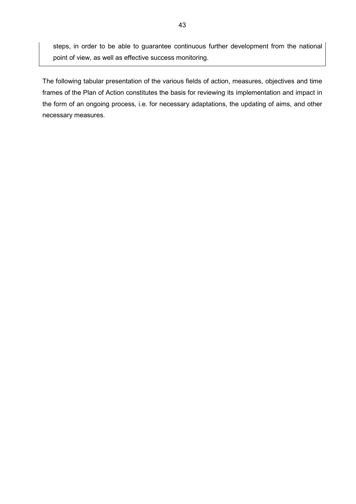steps, in order to be able to guarantee continuous further development from the national point of view, as well as effective success monitoring.

The following tabular presentation of the various fields of action, measures, objectives and time frames of the Plan of Action constitutes the basis for reviewing its implementation and impact in the form of an ongoing process, i.e. for necessary adaptations, the updating of aims, and other necessary measures.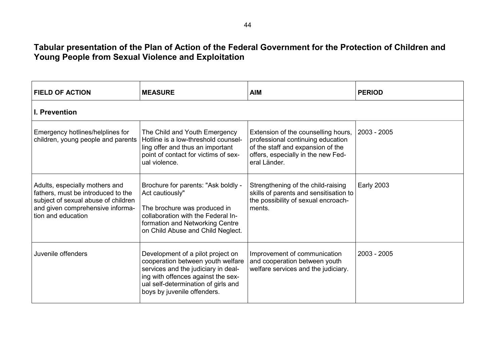## **Tabular presentation of the Plan of Action of the Federal Government for the Protection of Children and Young People from Sexual Violence and Exploitation**

| <b>FIELD OF ACTION</b>                                                                                                                                                | <b>MEASURE</b>                                                                                                                                                                                                            | <b>AIM</b>                                                                                                                                                                        | <b>PERIOD</b>     |  |  |
|-----------------------------------------------------------------------------------------------------------------------------------------------------------------------|---------------------------------------------------------------------------------------------------------------------------------------------------------------------------------------------------------------------------|-----------------------------------------------------------------------------------------------------------------------------------------------------------------------------------|-------------------|--|--|
| <b>I. Prevention</b>                                                                                                                                                  |                                                                                                                                                                                                                           |                                                                                                                                                                                   |                   |  |  |
| Emergency hotlines/helplines for<br>children, young people and parents                                                                                                | The Child and Youth Emergency<br>Hotline is a low-threshold counsel-<br>ling offer and thus an important<br>point of contact for victims of sex-<br>ual violence.                                                         | Extension of the counselling hours,   2003 - 2005<br>professional continuing education<br>of the staff and expansion of the<br>offers, especially in the new Fed-<br>eral Länder. |                   |  |  |
| Adults, especially mothers and<br>fathers, must be introduced to the<br>subject of sexual abuse of children<br>and given comprehensive informa-<br>tion and education | Brochure for parents: "Ask boldly -<br>Act cautiously"<br>The brochure was produced in<br>collaboration with the Federal In-<br>formation and Networking Centre<br>on Child Abuse and Child Neglect.                      | Strengthening of the child-raising<br>skills of parents and sensitisation to<br>the possibility of sexual encroach-<br>ments.                                                     | <b>Early 2003</b> |  |  |
| Juvenile offenders                                                                                                                                                    | Development of a pilot project on<br>cooperation between youth welfare<br>services and the judiciary in deal-<br>ing with offences against the sex-<br>ual self-determination of girls and<br>boys by juvenile offenders. | Improvement of communication<br>and cooperation between youth<br>welfare services and the judiciary.                                                                              | $2003 - 2005$     |  |  |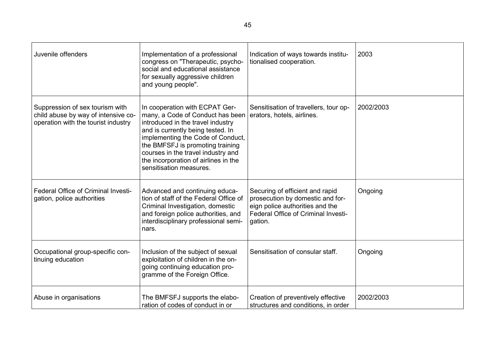| Juvenile offenders                                                                                            | Implementation of a professional<br>congress on "Therapeutic, psycho-<br>social and educational assistance<br>for sexually aggressive children<br>and young people".                                                                                                                                                           | Indication of ways towards institu-<br>tionalised cooperation.                                                                                           | 2003      |
|---------------------------------------------------------------------------------------------------------------|--------------------------------------------------------------------------------------------------------------------------------------------------------------------------------------------------------------------------------------------------------------------------------------------------------------------------------|----------------------------------------------------------------------------------------------------------------------------------------------------------|-----------|
| Suppression of sex tourism with<br>child abuse by way of intensive co-<br>operation with the tourist industry | In cooperation with ECPAT Ger-<br>many, a Code of Conduct has been<br>introduced in the travel industry<br>and is currently being tested. In<br>implementing the Code of Conduct,<br>the BMFSFJ is promoting training<br>courses in the travel industry and<br>the incorporation of airlines in the<br>sensitisation measures. | Sensitisation of travellers, tour op-<br>erators, hotels, airlines.                                                                                      | 2002/2003 |
| Federal Office of Criminal Investi-<br>gation, police authorities                                             | Advanced and continuing educa-<br>tion of staff of the Federal Office of<br>Criminal Investigation, domestic<br>and foreign police authorities, and<br>interdisciplinary professional semi-<br>nars.                                                                                                                           | Securing of efficient and rapid<br>prosecution by domestic and for-<br>eign police authorities and the<br>Federal Office of Criminal Investi-<br>gation. | Ongoing   |
| Occupational group-specific con-<br>tinuing education                                                         | Inclusion of the subject of sexual<br>exploitation of children in the on-<br>going continuing education pro-<br>gramme of the Foreign Office.                                                                                                                                                                                  | Sensitisation of consular staff.                                                                                                                         | Ongoing   |
| Abuse in organisations                                                                                        | The BMFSFJ supports the elabo-<br>ration of codes of conduct in or                                                                                                                                                                                                                                                             | Creation of preventively effective<br>structures and conditions, in order                                                                                | 2002/2003 |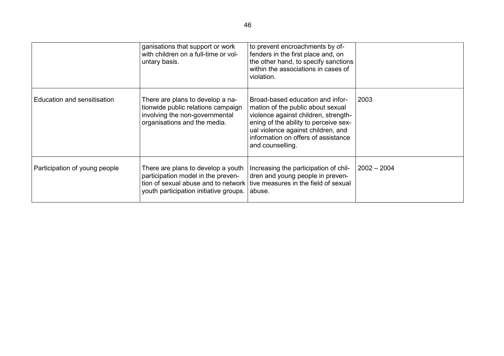|                               | ganisations that support or work<br>with children on a full-time or vol-<br>untary basis.                                                                                                      | to prevent encroachments by of-<br>fenders in the first place and, on<br>the other hand, to specify sanctions<br>within the associations in cases of<br>violation.                                                                                      |             |
|-------------------------------|------------------------------------------------------------------------------------------------------------------------------------------------------------------------------------------------|---------------------------------------------------------------------------------------------------------------------------------------------------------------------------------------------------------------------------------------------------------|-------------|
| Education and sensitisation   | There are plans to develop a na-<br>tionwide public relations campaign<br>involving the non-governmental<br>organisations and the media.                                                       | Broad-based education and infor-<br>mation of the public about sexual<br>violence against children, strength-<br>ening of the ability to perceive sex-<br>ual violence against children, and<br>information on offers of assistance<br>and counselling. | 2003        |
| Participation of young people | There are plans to develop a youth<br>participation model in the preven-<br>tion of sexual abuse and to network tive measures in the field of sexual<br>youth participation initiative groups. | Increasing the participation of chil-<br>dren and young people in preven-<br>abuse.                                                                                                                                                                     | 2002 – 2004 |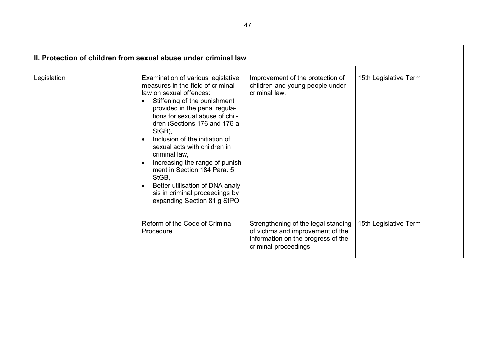| II. Protection of children from sexual abuse under criminal law |                                                                                                                                                                                                                                                                                                                                                                                                                                                                                                                                                             |                                                                                                                                         |                       |  |  |
|-----------------------------------------------------------------|-------------------------------------------------------------------------------------------------------------------------------------------------------------------------------------------------------------------------------------------------------------------------------------------------------------------------------------------------------------------------------------------------------------------------------------------------------------------------------------------------------------------------------------------------------------|-----------------------------------------------------------------------------------------------------------------------------------------|-----------------------|--|--|
| Legislation                                                     | Examination of various legislative<br>measures in the field of criminal<br>law on sexual offences:<br>Stiffening of the punishment<br>$\bullet$<br>provided in the penal regula-<br>tions for sexual abuse of chil-<br>dren (Sections 176 and 176 a<br>StGB),<br>Inclusion of the initiation of<br>$\bullet$<br>sexual acts with children in<br>criminal law,<br>Increasing the range of punish-<br>$\bullet$<br>ment in Section 184 Para, 5<br>StGB,<br>Better utilisation of DNA analy-<br>sis in criminal proceedings by<br>expanding Section 81 g StPO. | Improvement of the protection of<br>children and young people under<br>criminal law.                                                    | 15th Legislative Term |  |  |
|                                                                 | Reform of the Code of Criminal<br>Procedure.                                                                                                                                                                                                                                                                                                                                                                                                                                                                                                                | Strengthening of the legal standing<br>of victims and improvement of the<br>information on the progress of the<br>criminal proceedings. | 15th Legislative Term |  |  |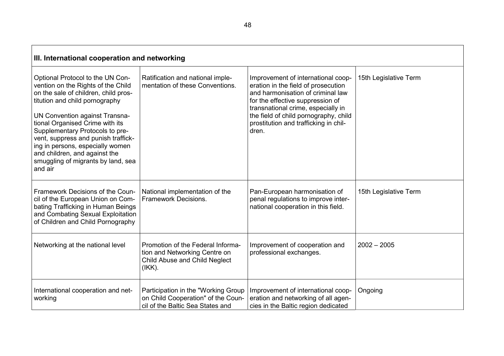| III. International cooperation and networking                                                                                                                                                                                                                                                                                                                                                                         |                                                                                                                  |                                                                                                                                                                                                                                                                                     |                       |  |
|-----------------------------------------------------------------------------------------------------------------------------------------------------------------------------------------------------------------------------------------------------------------------------------------------------------------------------------------------------------------------------------------------------------------------|------------------------------------------------------------------------------------------------------------------|-------------------------------------------------------------------------------------------------------------------------------------------------------------------------------------------------------------------------------------------------------------------------------------|-----------------------|--|
| Optional Protocol to the UN Con-<br>vention on the Rights of the Child<br>on the sale of children, child pros-<br>titution and child pornography<br>UN Convention against Transna-<br>tional Organised Crime with its<br>Supplementary Protocols to pre-<br>vent, suppress and punish traffick-<br>ing in persons, especially women<br>and children, and against the<br>smuggling of migrants by land, sea<br>and air | Ratification and national imple-<br>mentation of these Conventions.                                              | Improvement of international coop-<br>eration in the field of prosecution<br>and harmonisation of criminal law<br>for the effective suppression of<br>transnational crime, especially in<br>the field of child pornography, child<br>prostitution and trafficking in chil-<br>dren. | 15th Legislative Term |  |
| Framework Decisions of the Coun-<br>cil of the European Union on Com-<br>bating Trafficking in Human Beings<br>and Combating Sexual Exploitation<br>of Children and Child Pornography                                                                                                                                                                                                                                 | National implementation of the<br><b>Framework Decisions.</b>                                                    | Pan-European harmonisation of<br>penal regulations to improve inter-<br>national cooperation in this field.                                                                                                                                                                         | 15th Legislative Term |  |
| Networking at the national level                                                                                                                                                                                                                                                                                                                                                                                      | Promotion of the Federal Informa-<br>tion and Networking Centre on<br>Child Abuse and Child Neglect<br>$(IKK)$ . | Improvement of cooperation and<br>professional exchanges.                                                                                                                                                                                                                           | $2002 - 2005$         |  |
| International cooperation and net-<br>working                                                                                                                                                                                                                                                                                                                                                                         | Participation in the "Working Group<br>on Child Cooperation" of the Coun-<br>cil of the Baltic Sea States and    | Improvement of international coop-<br>eration and networking of all agen-<br>cies in the Baltic region dedicated                                                                                                                                                                    | Ongoing               |  |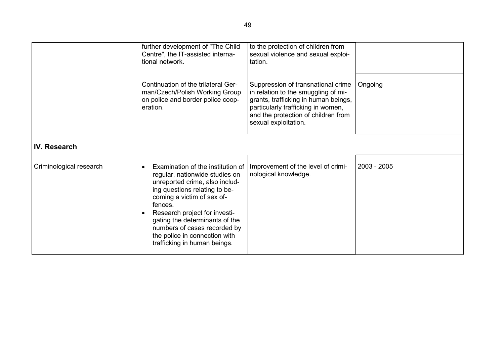|                         | further development of "The Child<br>Centre", the IT-assisted interna-<br>tional network.                                                                                                                                                                                                                                                           | to the protection of children from<br>sexual violence and sexual exploi-<br>tation.                                                                                                                                    |               |
|-------------------------|-----------------------------------------------------------------------------------------------------------------------------------------------------------------------------------------------------------------------------------------------------------------------------------------------------------------------------------------------------|------------------------------------------------------------------------------------------------------------------------------------------------------------------------------------------------------------------------|---------------|
|                         | Continuation of the trilateral Ger-<br>man/Czech/Polish Working Group<br>on police and border police coop-<br>eration.                                                                                                                                                                                                                              | Suppression of transnational crime<br>in relation to the smuggling of mi-<br>grants, trafficking in human beings,<br>particularly trafficking in women,<br>and the protection of children from<br>sexual exploitation. | Ongoing       |
| IV. Research            |                                                                                                                                                                                                                                                                                                                                                     |                                                                                                                                                                                                                        |               |
| Criminological research | Examination of the institution of<br>regular, nationwide studies on<br>unreported crime, also includ-<br>ing questions relating to be-<br>coming a victim of sex of-<br>fences.<br>Research project for investi-<br>gating the determinants of the<br>numbers of cases recorded by<br>the police in connection with<br>trafficking in human beings. | Improvement of the level of crimi-<br>nological knowledge.                                                                                                                                                             | $2003 - 2005$ |